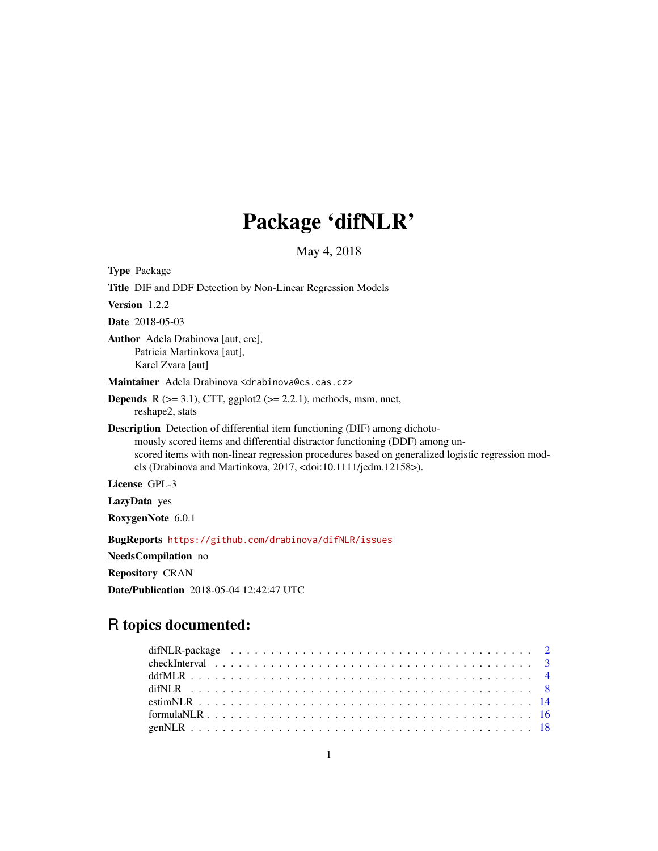# Package 'difNLR'

May 4, 2018

<span id="page-0-0"></span>

Repository CRAN

Date/Publication 2018-05-04 12:42:47 UTC

# R topics documented: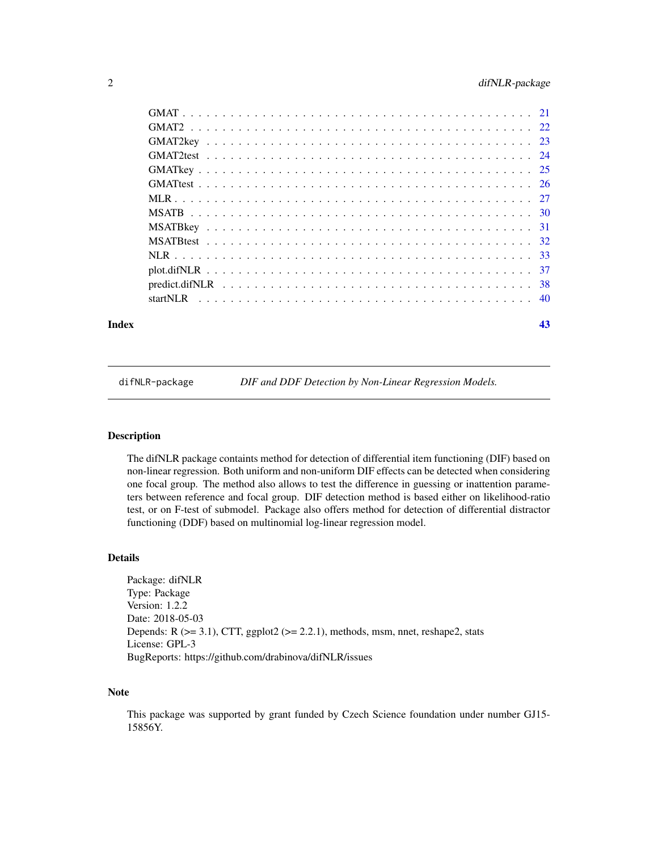<span id="page-1-0"></span>

#### **Index** [43](#page-42-0)

difNLR-package *DIF and DDF Detection by Non-Linear Regression Models.*

# Description

The difNLR package containts method for detection of differential item functioning (DIF) based on non-linear regression. Both uniform and non-uniform DIF effects can be detected when considering one focal group. The method also allows to test the difference in guessing or inattention parameters between reference and focal group. DIF detection method is based either on likelihood-ratio test, or on F-test of submodel. Package also offers method for detection of differential distractor functioning (DDF) based on multinomial log-linear regression model.

# Details

Package: difNLR Type: Package Version: 1.2.2 Date: 2018-05-03 Depends:  $R$  ( $>= 3.1$ ), CTT, ggplot2 ( $>= 2.2.1$ ), methods, msm, nnet, reshape2, stats License: GPL-3 BugReports: https://github.com/drabinova/difNLR/issues

#### Note

This package was supported by grant funded by Czech Science foundation under number GJ15- 15856Y.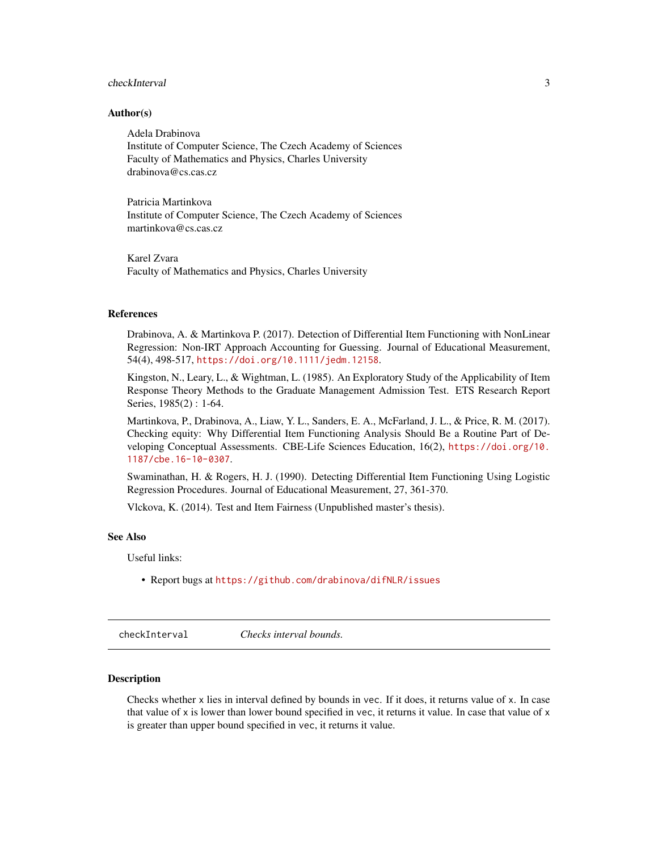# <span id="page-2-0"></span>checkInterval 3

#### Author(s)

Adela Drabinova Institute of Computer Science, The Czech Academy of Sciences Faculty of Mathematics and Physics, Charles University drabinova@cs.cas.cz

Patricia Martinkova Institute of Computer Science, The Czech Academy of Sciences martinkova@cs.cas.cz

Karel Zvara Faculty of Mathematics and Physics, Charles University

#### References

Drabinova, A. & Martinkova P. (2017). Detection of Differential Item Functioning with NonLinear Regression: Non-IRT Approach Accounting for Guessing. Journal of Educational Measurement, 54(4), 498-517, <https://doi.org/10.1111/jedm.12158>.

Kingston, N., Leary, L., & Wightman, L. (1985). An Exploratory Study of the Applicability of Item Response Theory Methods to the Graduate Management Admission Test. ETS Research Report Series, 1985(2) : 1-64.

Martinkova, P., Drabinova, A., Liaw, Y. L., Sanders, E. A., McFarland, J. L., & Price, R. M. (2017). Checking equity: Why Differential Item Functioning Analysis Should Be a Routine Part of Developing Conceptual Assessments. CBE-Life Sciences Education, 16(2), [https://doi.org/10.](https://doi.org/10.1187/cbe.16-10-0307) [1187/cbe.16-10-0307](https://doi.org/10.1187/cbe.16-10-0307).

Swaminathan, H. & Rogers, H. J. (1990). Detecting Differential Item Functioning Using Logistic Regression Procedures. Journal of Educational Measurement, 27, 361-370.

Vlckova, K. (2014). Test and Item Fairness (Unpublished master's thesis).

# See Also

Useful links:

• Report bugs at <https://github.com/drabinova/difNLR/issues>

checkInterval *Checks interval bounds.*

# **Description**

Checks whether x lies in interval defined by bounds in vec. If it does, it returns value of x. In case that value of  $x$  is lower than lower bound specified in vec, it returns it value. In case that value of  $x$ is greater than upper bound specified in vec, it returns it value.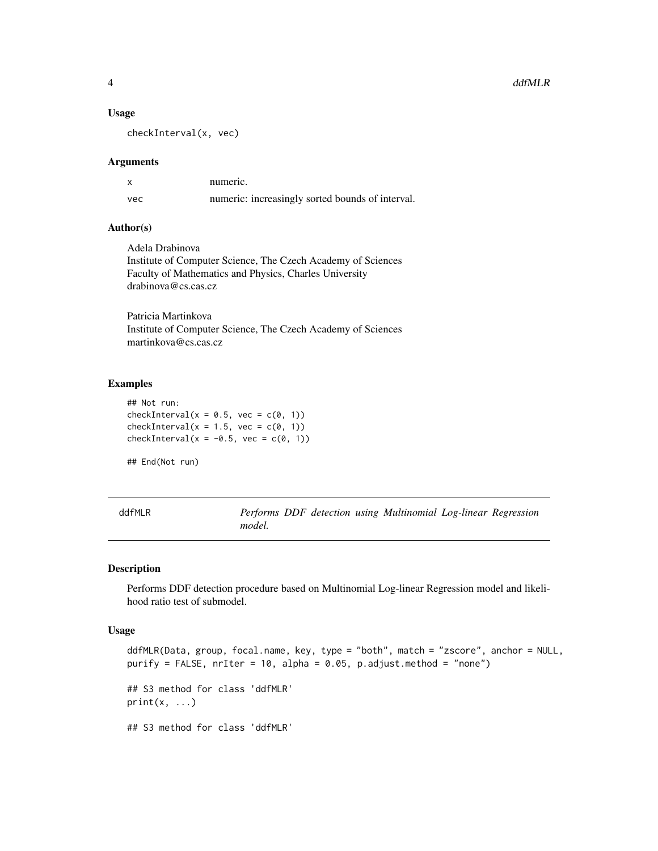#### 4 ddfMLR

#### Usage

checkInterval(x, vec)

#### Arguments

|     | numeric.                                         |
|-----|--------------------------------------------------|
| vec | numeric: increasingly sorted bounds of interval. |

# Author(s)

Adela Drabinova Institute of Computer Science, The Czech Academy of Sciences Faculty of Mathematics and Physics, Charles University drabinova@cs.cas.cz

Patricia Martinkova Institute of Computer Science, The Czech Academy of Sciences martinkova@cs.cas.cz

# Examples

## Not run: checkInterval( $x = 0.5$ , vec = c(0, 1)) checkInterval( $x = 1.5$ , vec = c(0, 1)) checkInterval( $x = -0.5$ , vec = c(0, 1))

## End(Not run)

<span id="page-3-1"></span>

| ddfMLR |        |  | Performs DDF detection using Multinomial Log-linear Regression |  |
|--------|--------|--|----------------------------------------------------------------|--|
|        | model. |  |                                                                |  |

# Description

Performs DDF detection procedure based on Multinomial Log-linear Regression model and likelihood ratio test of submodel.

#### Usage

ddfMLR(Data, group, focal.name, key, type = "both", match = "zscore", anchor = NULL, purify = FALSE,  $n$ rIter = 10, alpha = 0.05,  $p$ .adjust.method = "none") ## S3 method for class 'ddfMLR'  $print(x, \ldots)$ ## S3 method for class 'ddfMLR'

<span id="page-3-0"></span>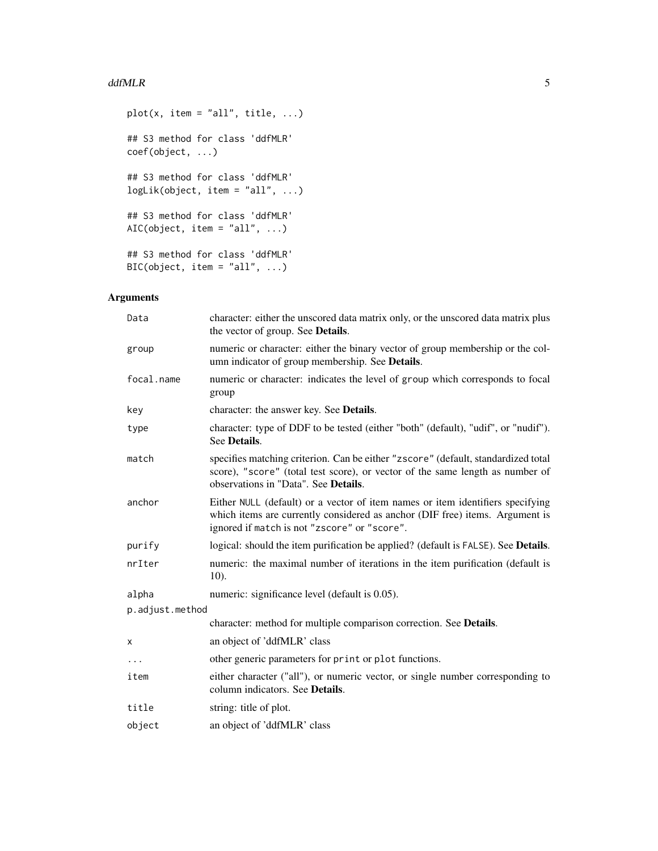#### ddfMLR 5

```
plot(x, item = "all", title, ...)
## S3 method for class 'ddfMLR'
coef(object, ...)
## S3 method for class 'ddfMLR'
logLik(object, item = "all", ...)## S3 method for class 'ddfMLR'
AIC(object, item = "all", \dots)
## S3 method for class 'ddfMLR'
BIC(object, item = "all", \dots)
```
# Arguments

| Data            | character: either the unscored data matrix only, or the unscored data matrix plus<br>the vector of group. See Details.                                                                                         |
|-----------------|----------------------------------------------------------------------------------------------------------------------------------------------------------------------------------------------------------------|
| group           | numeric or character: either the binary vector of group membership or the col-<br>umn indicator of group membership. See Details.                                                                              |
| focal.name      | numeric or character: indicates the level of group which corresponds to focal<br>group                                                                                                                         |
| key             | character: the answer key. See Details.                                                                                                                                                                        |
| type            | character: type of DDF to be tested (either "both" (default), "udif", or "nudif").<br>See Details.                                                                                                             |
| match           | specifies matching criterion. Can be either "zscore" (default, standardized total<br>score), "score" (total test score), or vector of the same length as number of<br>observations in "Data". See Details.     |
| anchor          | Either NULL (default) or a vector of item names or item identifiers specifying<br>which items are currently considered as anchor (DIF free) items. Argument is<br>ignored if match is not "zscore" or "score". |
| purify          | logical: should the item purification be applied? (default is FALSE). See Details.                                                                                                                             |
| nrIter          | numeric: the maximal number of iterations in the item purification (default is<br>$10$ ).                                                                                                                      |
| alpha           | numeric: significance level (default is 0.05).                                                                                                                                                                 |
| p.adjust.method |                                                                                                                                                                                                                |
|                 | character: method for multiple comparison correction. See Details.                                                                                                                                             |
| х               | an object of 'ddfMLR' class                                                                                                                                                                                    |
| $\cdots$        | other generic parameters for print or plot functions.                                                                                                                                                          |
| item            | either character ("all"), or numeric vector, or single number corresponding to<br>column indicators. See Details.                                                                                              |
| title           | string: title of plot.                                                                                                                                                                                         |
| object          | an object of 'ddfMLR' class                                                                                                                                                                                    |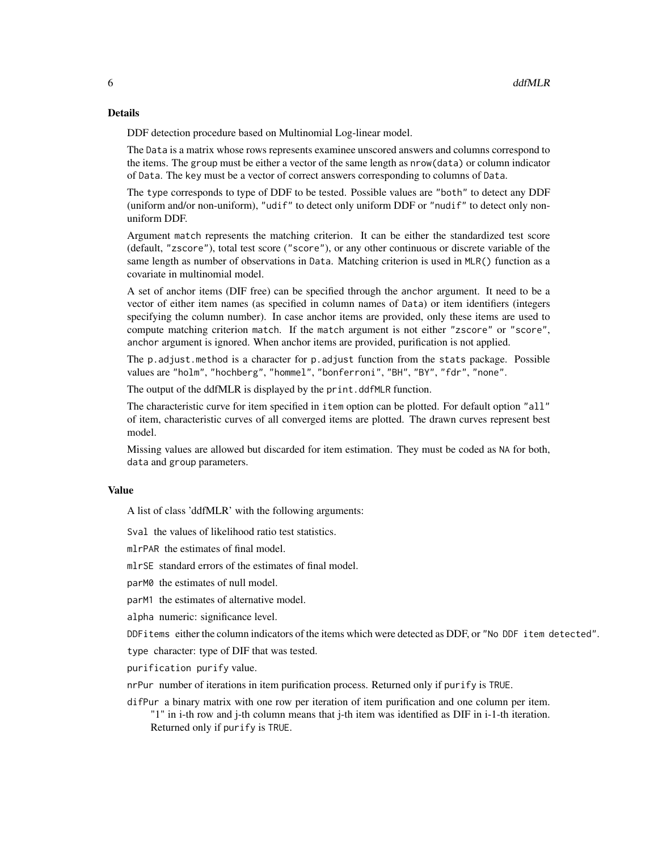#### Details

DDF detection procedure based on Multinomial Log-linear model.

The Data is a matrix whose rows represents examinee unscored answers and columns correspond to the items. The group must be either a vector of the same length as nrow(data) or column indicator of Data. The key must be a vector of correct answers corresponding to columns of Data.

The type corresponds to type of DDF to be tested. Possible values are "both" to detect any DDF (uniform and/or non-uniform), "udif" to detect only uniform DDF or "nudif" to detect only nonuniform DDF.

Argument match represents the matching criterion. It can be either the standardized test score (default, "zscore"), total test score ("score"), or any other continuous or discrete variable of the same length as number of observations in Data. Matching criterion is used in MLR() function as a covariate in multinomial model.

A set of anchor items (DIF free) can be specified through the anchor argument. It need to be a vector of either item names (as specified in column names of Data) or item identifiers (integers specifying the column number). In case anchor items are provided, only these items are used to compute matching criterion match. If the match argument is not either "zscore" or "score", anchor argument is ignored. When anchor items are provided, purification is not applied.

The p.adjust.method is a character for p.adjust function from the stats package. Possible values are "holm", "hochberg", "hommel", "bonferroni", "BH", "BY", "fdr", "none".

The output of the ddfMLR is displayed by the print.ddfMLR function.

The characteristic curve for item specified in item option can be plotted. For default option "all" of item, characteristic curves of all converged items are plotted. The drawn curves represent best model.

Missing values are allowed but discarded for item estimation. They must be coded as NA for both, data and group parameters.

#### Value

A list of class 'ddfMLR' with the following arguments:

Sval the values of likelihood ratio test statistics.

mlrPAR the estimates of final model.

mlrSE standard errors of the estimates of final model.

parM0 the estimates of null model.

parM1 the estimates of alternative model.

alpha numeric: significance level.

DDFitems either the column indicators of the items which were detected as DDF, or "No DDF item detected".

type character: type of DIF that was tested.

purification purify value.

nrPur number of iterations in item purification process. Returned only if purify is TRUE.

difPur a binary matrix with one row per iteration of item purification and one column per item.

"1" in i-th row and j-th column means that j-th item was identified as DIF in i-1-th iteration. Returned only if purify is TRUE.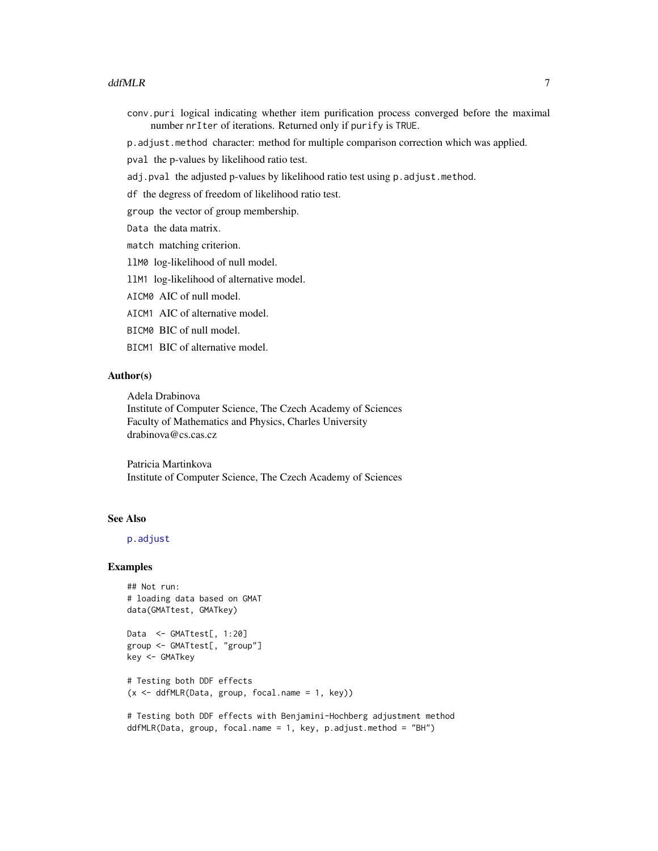#### <span id="page-6-0"></span>ddfMLR **7**

- conv.puri logical indicating whether item purification process converged before the maximal number nrIter of iterations. Returned only if purify is TRUE.
- p.adjust.method character: method for multiple comparison correction which was applied.

pval the p-values by likelihood ratio test.

- adj.pval the adjusted p-values by likelihood ratio test using p.adjust.method.
- df the degress of freedom of likelihood ratio test.
- group the vector of group membership.

Data the data matrix.

- match matching criterion.
- llM0 log-likelihood of null model.
- llM1 log-likelihood of alternative model.
- AICM0 AIC of null model.
- AICM1 AIC of alternative model.
- BICM0 BIC of null model.
- BICM1 BIC of alternative model.

#### Author(s)

Adela Drabinova Institute of Computer Science, The Czech Academy of Sciences Faculty of Mathematics and Physics, Charles University drabinova@cs.cas.cz

Patricia Martinkova Institute of Computer Science, The Czech Academy of Sciences

#### See Also

### [p.adjust](#page-0-0)

#### Examples

```
## Not run:
# loading data based on GMAT
data(GMATtest, GMATkey)
```

```
Data <- GMATtest[, 1:20]
group <- GMATtest[, "group"]
key <- GMATkey
```

```
# Testing both DDF effects
(x \leq d) ddfMLR(Data, group, focal.name = 1, key))
```

```
# Testing both DDF effects with Benjamini-Hochberg adjustment method
ddfMLR(Data, group, focal.name = 1, key, p.adjust.method = "BH")
```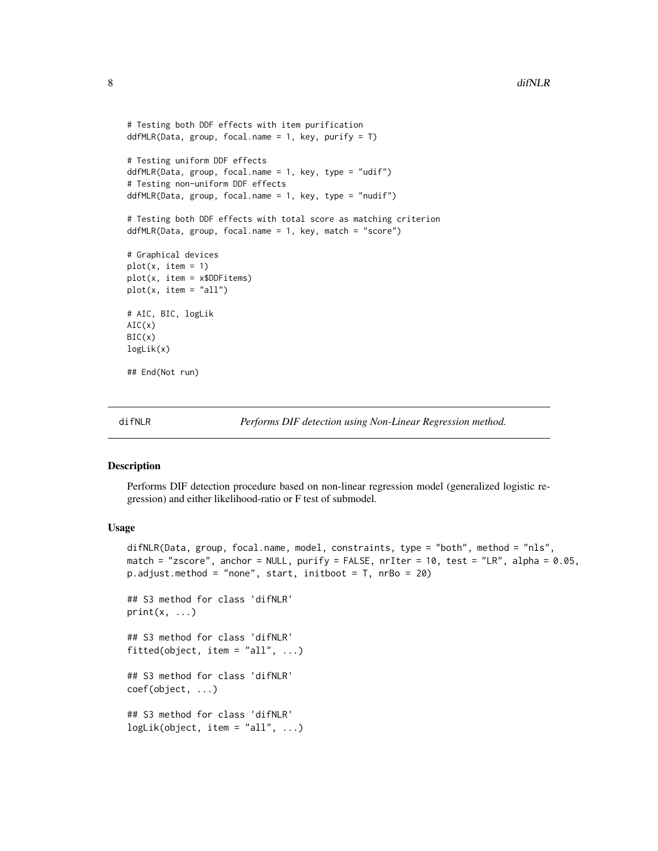```
# Testing both DDF effects with item purification
ddfMLR(Data, group, focal.name = 1, key, purify = T)# Testing uniform DDF effects
ddfMLR(Data, group, focal.name = 1, key, type = "udif")
# Testing non-uniform DDF effects
ddfMLR(Data, group, focal.name = 1, key, type = "nudif")
# Testing both DDF effects with total score as matching criterion
ddfMLR(Data, group, focal.name = 1, key, match = "score")
# Graphical devices
plot(x, item = 1)plot(x, item = x$DDFitems)
plot(x, item = "all")
# AIC, BIC, logLik
AIC(x)BIC(x)logLik(x)
## End(Not run)
```
<span id="page-7-1"></span>

```
difNLR Performs DIF detection using Non-Linear Regression method.
```
Performs DIF detection procedure based on non-linear regression model (generalized logistic regression) and either likelihood-ratio or F test of submodel.

#### Usage

```
difNLR(Data, group, focal.name, model, constraints, type = "both", method = "nls",
match = "zscore", anchor = NULL, purify = FALSE, nrIter = 10, test = "LR", alpha = 0.05,
p.adjust.method = "none", start, initboot = T, nrBo = 20)
```
## S3 method for class 'difNLR'  $print(x, \ldots)$ 

## S3 method for class 'difNLR' fitted(object, item = "all",  $\ldots$ )

## S3 method for class 'difNLR' coef(object, ...)

```
## S3 method for class 'difNLR'
logLik(object, item = "all", ...)
```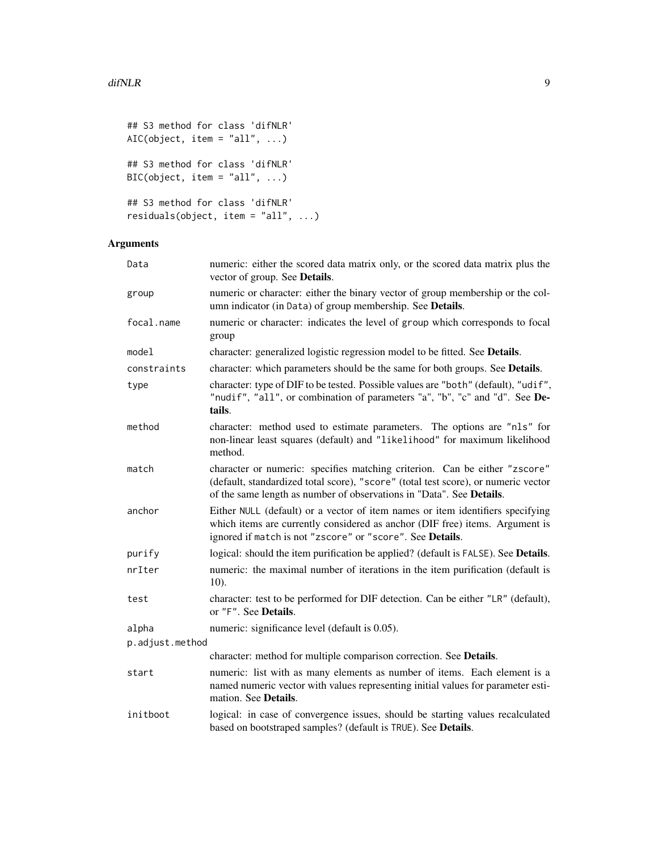```
## S3 method for class 'difNLR'
AIC(object, item = "all", \ldots)
## S3 method for class 'difNLR'
BIC(object, item = "all", \dots)
## S3 method for class 'difNLR'
residuals(object, item = "all", ...)
```
# Arguments

| Data            | numeric: either the scored data matrix only, or the scored data matrix plus the<br>vector of group. See Details.                                                                                                                         |
|-----------------|------------------------------------------------------------------------------------------------------------------------------------------------------------------------------------------------------------------------------------------|
| group           | numeric or character: either the binary vector of group membership or the col-<br>umn indicator (in Data) of group membership. See Details.                                                                                              |
| focal.name      | numeric or character: indicates the level of group which corresponds to focal<br>group                                                                                                                                                   |
| model           | character: generalized logistic regression model to be fitted. See Details.                                                                                                                                                              |
| constraints     | character: which parameters should be the same for both groups. See Details.                                                                                                                                                             |
| type            | character: type of DIF to be tested. Possible values are "both" (default), "udif",<br>"nudif", "all", or combination of parameters "a", "b", "c" and "d". See De-<br>tails.                                                              |
| method          | character: method used to estimate parameters. The options are "nls" for<br>non-linear least squares (default) and "likelihood" for maximum likelihood<br>method.                                                                        |
| match           | character or numeric: specifies matching criterion. Can be either "zscore"<br>(default, standardized total score), "score" (total test score), or numeric vector<br>of the same length as number of observations in "Data". See Details. |
| anchor          | Either NULL (default) or a vector of item names or item identifiers specifying<br>which items are currently considered as anchor (DIF free) items. Argument is<br>ignored if match is not "zscore" or "score". See Details.              |
| purify          | logical: should the item purification be applied? (default is FALSE). See Details.                                                                                                                                                       |
| nrIter          | numeric: the maximal number of iterations in the item purification (default is<br>10).                                                                                                                                                   |
| test            | character: test to be performed for DIF detection. Can be either "LR" (default),<br>or "F". See Details.                                                                                                                                 |
| alpha           | numeric: significance level (default is 0.05).                                                                                                                                                                                           |
| p.adjust.method |                                                                                                                                                                                                                                          |
|                 | character: method for multiple comparison correction. See Details.                                                                                                                                                                       |
| start           | numeric: list with as many elements as number of items. Each element is a<br>named numeric vector with values representing initial values for parameter esti-<br>mation. See <b>Details</b> .                                            |
| initboot        | logical: in case of convergence issues, should be starting values recalculated<br>based on bootstraped samples? (default is TRUE). See Details.                                                                                          |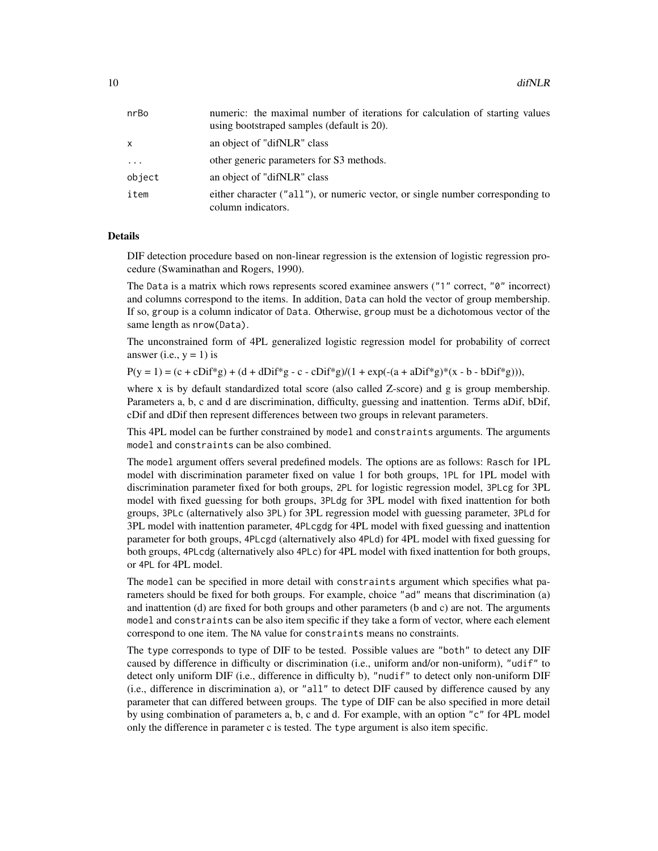| nrBo     | numeric: the maximal number of iterations for calculation of starting values<br>using bootstraped samples (default is 20). |
|----------|----------------------------------------------------------------------------------------------------------------------------|
| x        | an object of "difNLR" class                                                                                                |
| $\ddots$ | other generic parameters for S3 methods.                                                                                   |
| object   | an object of "difNLR" class                                                                                                |
| item     | either character ("all"), or numeric vector, or single number corresponding to<br>column indicators.                       |

# Details

DIF detection procedure based on non-linear regression is the extension of logistic regression procedure (Swaminathan and Rogers, 1990).

The Data is a matrix which rows represents scored examinee answers ("1" correct, "0" incorrect) and columns correspond to the items. In addition, Data can hold the vector of group membership. If so, group is a column indicator of Data. Otherwise, group must be a dichotomous vector of the same length as nrow(Data).

The unconstrained form of 4PL generalized logistic regression model for probability of correct answer (i.e.,  $y = 1$ ) is

 $P(y = 1) = (c + cDif^*g) + (d + dDif^*g - c - cDif^*g)/(1 + exp(-(a + aDif^*g)^*(x - b - bDif^*g))),$ 

where x is by default standardized total score (also called Z-score) and g is group membership. Parameters a, b, c and d are discrimination, difficulty, guessing and inattention. Terms aDif, bDif, cDif and dDif then represent differences between two groups in relevant parameters.

This 4PL model can be further constrained by model and constraints arguments. The arguments model and constraints can be also combined.

The model argument offers several predefined models. The options are as follows: Rasch for 1PL model with discrimination parameter fixed on value 1 for both groups, 1PL for 1PL model with discrimination parameter fixed for both groups, 2PL for logistic regression model, 3PLcg for 3PL model with fixed guessing for both groups, 3PLdg for 3PL model with fixed inattention for both groups, 3PLc (alternatively also 3PL) for 3PL regression model with guessing parameter, 3PLd for 3PL model with inattention parameter, 4PLcgdg for 4PL model with fixed guessing and inattention parameter for both groups, 4PLcgd (alternatively also 4PLd) for 4PL model with fixed guessing for both groups, 4PLcdg (alternatively also 4PLc) for 4PL model with fixed inattention for both groups, or 4PL for 4PL model.

The model can be specified in more detail with constraints argument which specifies what parameters should be fixed for both groups. For example, choice "ad" means that discrimination (a) and inattention (d) are fixed for both groups and other parameters (b and c) are not. The arguments model and constraints can be also item specific if they take a form of vector, where each element correspond to one item. The NA value for constraints means no constraints.

The type corresponds to type of DIF to be tested. Possible values are "both" to detect any DIF caused by difference in difficulty or discrimination (i.e., uniform and/or non-uniform), "udif" to detect only uniform DIF (i.e., difference in difficulty b), "nudif" to detect only non-uniform DIF (i.e., difference in discrimination a), or "all" to detect DIF caused by difference caused by any parameter that can differed between groups. The type of DIF can be also specified in more detail by using combination of parameters a, b, c and d. For example, with an option "c" for 4PL model only the difference in parameter c is tested. The type argument is also item specific.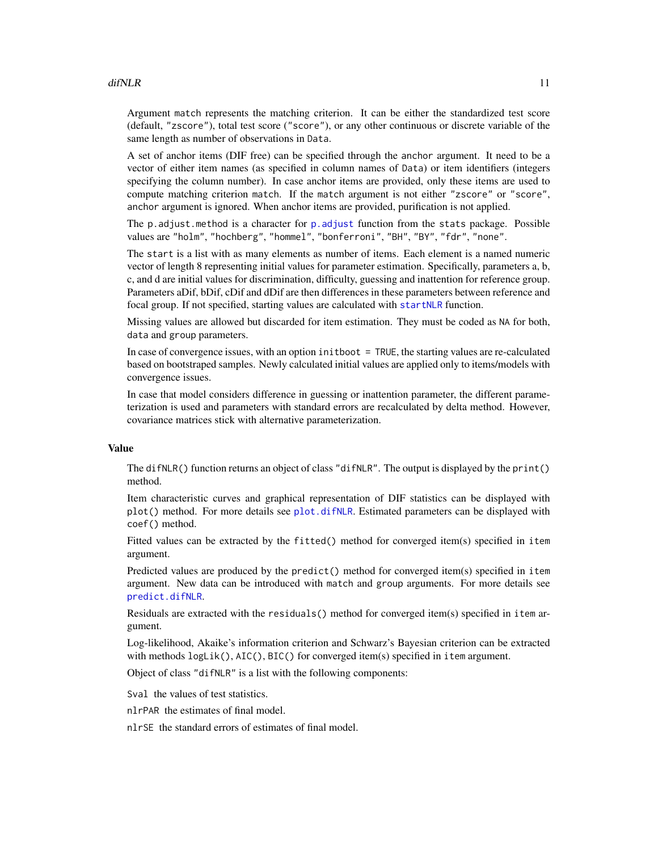<span id="page-10-0"></span>Argument match represents the matching criterion. It can be either the standardized test score (default, "zscore"), total test score ("score"), or any other continuous or discrete variable of the same length as number of observations in Data.

A set of anchor items (DIF free) can be specified through the anchor argument. It need to be a vector of either item names (as specified in column names of Data) or item identifiers (integers specifying the column number). In case anchor items are provided, only these items are used to compute matching criterion match. If the match argument is not either "zscore" or "score", anchor argument is ignored. When anchor items are provided, purification is not applied.

The  $p$  adjust.method is a character for  $p$  adjust function from the stats package. Possible values are "holm", "hochberg", "hommel", "bonferroni", "BH", "BY", "fdr", "none".

The start is a list with as many elements as number of items. Each element is a named numeric vector of length 8 representing initial values for parameter estimation. Specifically, parameters a, b, c, and d are initial values for discrimination, difficulty, guessing and inattention for reference group. Parameters aDif, bDif, cDif and dDif are then differences in these parameters between reference and focal group. If not specified, starting values are calculated with [startNLR](#page-39-1) function.

Missing values are allowed but discarded for item estimation. They must be coded as NA for both, data and group parameters.

In case of convergence issues, with an option initboot = TRUE, the starting values are re-calculated based on bootstraped samples. Newly calculated initial values are applied only to items/models with convergence issues.

In case that model considers difference in guessing or inattention parameter, the different parameterization is used and parameters with standard errors are recalculated by delta method. However, covariance matrices stick with alternative parameterization.

#### Value

The difNLR() function returns an object of class "difNLR". The output is displayed by the print() method.

Item characteristic curves and graphical representation of DIF statistics can be displayed with plot() method. For more details see [plot.difNLR](#page-36-1). Estimated parameters can be displayed with coef() method.

Fitted values can be extracted by the fitted() method for converged item(s) specified in item argument.

Predicted values are produced by the predict() method for converged item(s) specified in item argument. New data can be introduced with match and group arguments. For more details see [predict.difNLR](#page-37-1).

Residuals are extracted with the residuals() method for converged item(s) specified in item argument.

Log-likelihood, Akaike's information criterion and Schwarz's Bayesian criterion can be extracted with methods  $logLik()$ ,  $AIC()$ ,  $BIC()$  for converged item(s) specified in item argument.

Object of class "difNLR" is a list with the following components:

Sval the values of test statistics.

nlrPAR the estimates of final model.

nlrSE the standard errors of estimates of final model.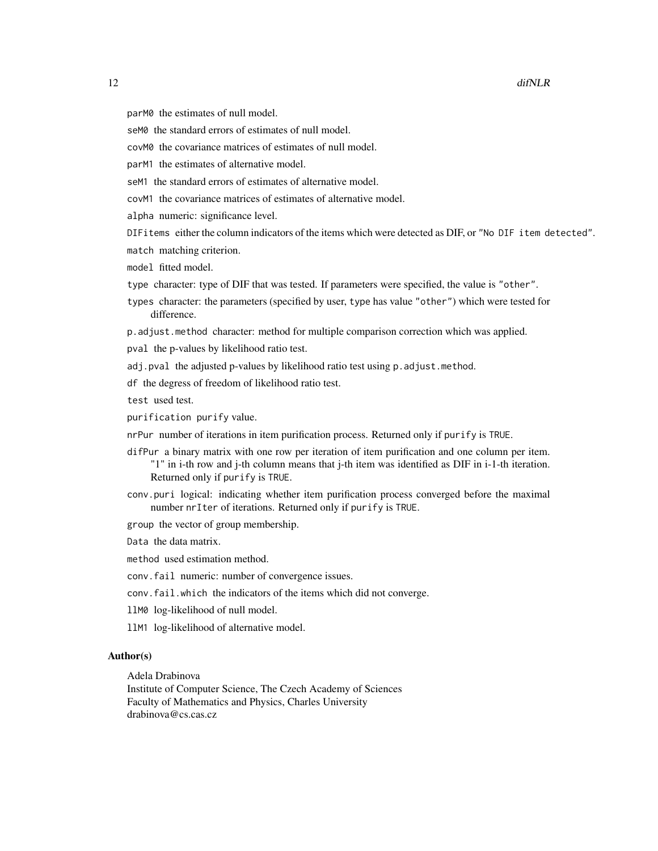- parM0 the estimates of null model.
- seM0 the standard errors of estimates of null model.
- covM0 the covariance matrices of estimates of null model.
- parM1 the estimates of alternative model.
- seM1 the standard errors of estimates of alternative model.
- covM1 the covariance matrices of estimates of alternative model.
- alpha numeric: significance level.
- DIFitems either the column indicators of the items which were detected as DIF, or "No DIF item detected".
- match matching criterion.
- model fitted model.
- type character: type of DIF that was tested. If parameters were specified, the value is "other".
- types character: the parameters (specified by user, type has value "other") which were tested for difference.
- p.adjust.method character: method for multiple comparison correction which was applied.
- pval the p-values by likelihood ratio test.
- adj.pval the adjusted p-values by likelihood ratio test using p.adjust.method.
- df the degress of freedom of likelihood ratio test.
- test used test.
- purification purify value.
- nrPur number of iterations in item purification process. Returned only if purify is TRUE.
- difPur a binary matrix with one row per iteration of item purification and one column per item. "1" in i-th row and j-th column means that j-th item was identified as DIF in i-1-th iteration. Returned only if purify is TRUE.
- conv.puri logical: indicating whether item purification process converged before the maximal number nrIter of iterations. Returned only if purify is TRUE.
- group the vector of group membership.
- Data the data matrix.
- method used estimation method.
- conv.fail numeric: number of convergence issues.
- conv.fail.which the indicators of the items which did not converge.
- llM0 log-likelihood of null model.
- llM1 log-likelihood of alternative model.

#### Author(s)

Adela Drabinova

Institute of Computer Science, The Czech Academy of Sciences Faculty of Mathematics and Physics, Charles University drabinova@cs.cas.cz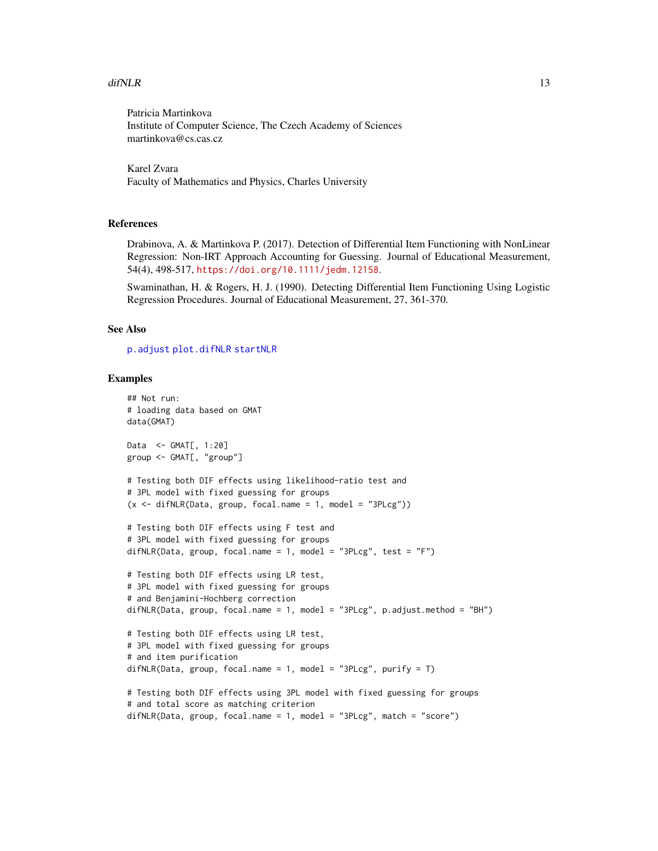#### <span id="page-12-0"></span> $diffNLR$  and the set of the set of the set of the set of the set of the set of the set of the set of the set of the set of the set of the set of the set of the set of the set of the set of the set of the set of the set of th

Patricia Martinkova Institute of Computer Science, The Czech Academy of Sciences martinkova@cs.cas.cz

Karel Zvara Faculty of Mathematics and Physics, Charles University

# References

Drabinova, A. & Martinkova P. (2017). Detection of Differential Item Functioning with NonLinear Regression: Non-IRT Approach Accounting for Guessing. Journal of Educational Measurement, 54(4), 498-517, <https://doi.org/10.1111/jedm.12158>.

Swaminathan, H. & Rogers, H. J. (1990). Detecting Differential Item Functioning Using Logistic Regression Procedures. Journal of Educational Measurement, 27, 361-370.

#### See Also

[p.adjust](#page-0-0) [plot.difNLR](#page-36-1) [startNLR](#page-39-1)

#### Examples

```
## Not run:
# loading data based on GMAT
data(GMAT)
Data <- GMAT[, 1:20]
group <- GMAT[, "group"]
# Testing both DIF effects using likelihood-ratio test and
# 3PL model with fixed guessing for groups
(x \leq -\text{diffNLR}(Data, group, focal.name = 1, model = "3PLcg"))# Testing both DIF effects using F test and
# 3PL model with fixed guessing for groups
difNLR(Data, group, focal.name = 1, model = "3PLcg", test = "F")
# Testing both DIF effects using LR test,
# 3PL model with fixed guessing for groups
# and Benjamini-Hochberg correction
difNLR(Data, group, focal.name = 1, model = "3PLcg", p.adjust.method = "BH")
# Testing both DIF effects using LR test,
# 3PL model with fixed guessing for groups
# and item purification
difNLR(Data, group, focal.name = 1, model = "3PLcg", purify = T)
# Testing both DIF effects using 3PL model with fixed guessing for groups
# and total score as matching criterion
diffNLR(Data, group, focal.name = 1, model = "3PLcg", match = "score")
```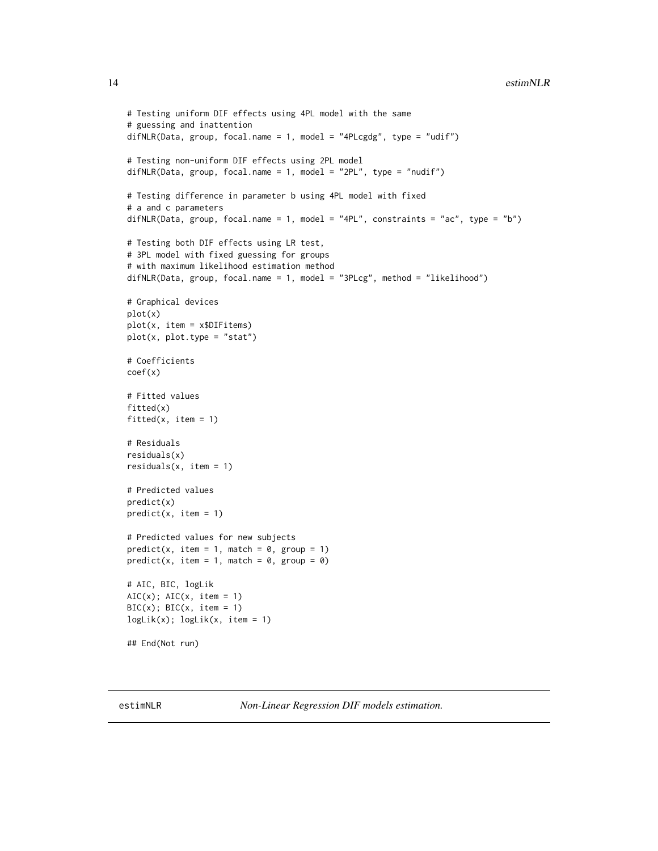```
# Testing uniform DIF effects using 4PL model with the same
# guessing and inattention
difNLR(Data, group, focal.name = 1, model = "4PLcgdg", type = "udif")
# Testing non-uniform DIF effects using 2PL model
difNLR(Data, group, focal.name = 1, model = "2PL", type = "nudif")
# Testing difference in parameter b using 4PL model with fixed
# a and c parameters
difNLR(Data, group, focal.name = 1, model = "4PL", constraints = "ac", type = "b")
# Testing both DIF effects using LR test,
# 3PL model with fixed guessing for groups
# with maximum likelihood estimation method
difNLR(Data, group, focal.name = 1, model = "3PLcg", method = "likelihood")
# Graphical devices
plot(x)
plot(x, item = x$DIFitems)
plot(x, plot_type = "stat")# Coefficients
coef(x)
# Fitted values
fitted(x)
fitted(x, item = 1)
# Residuals
residuals(x)
residuals(x, item = 1)
# Predicted values
predict(x)
predict(x, item = 1)
# Predicted values for new subjects
predict(x, item = 1, match = 0, group = 1)predict(x, item = 1, match = 0, group = 0)# AIC, BIC, logLik
AIC(x); AIC(x, item = 1)BIC(x); BIC(x, item = 1)logLik(x); logLik(x, item = 1)
## End(Not run)
```
estimNLR *Non-Linear Regression DIF models estimation.*

<span id="page-13-0"></span>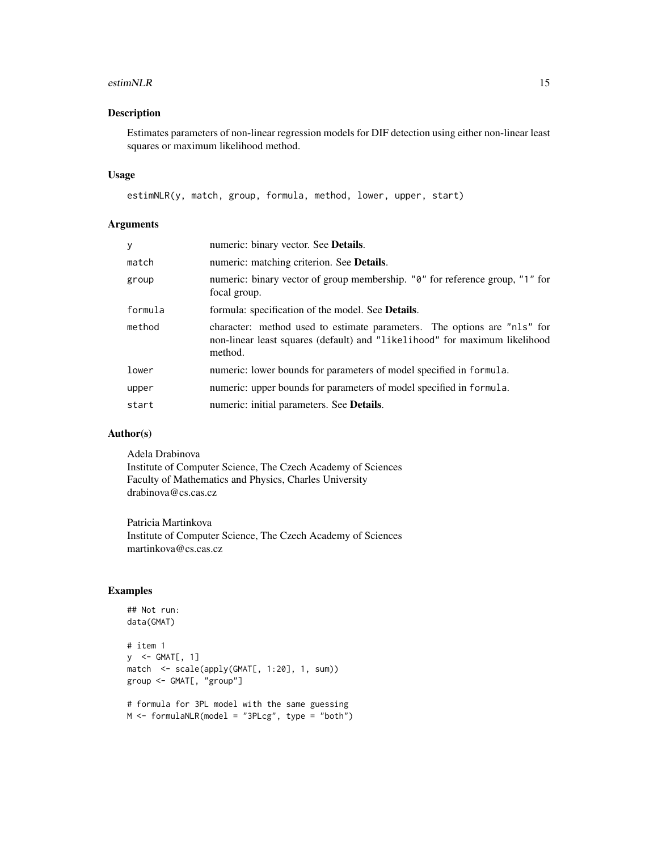#### estimNLR 15

# Description

Estimates parameters of non-linear regression models for DIF detection using either non-linear least squares or maximum likelihood method.

#### Usage

```
estimNLR(y, match, group, formula, method, lower, upper, start)
```
# Arguments

| y       | numeric: binary vector. See Details.                                                                                                                              |
|---------|-------------------------------------------------------------------------------------------------------------------------------------------------------------------|
| match   | numeric: matching criterion. See <b>Details</b> .                                                                                                                 |
| group   | numeric: binary vector of group membership. "0" for reference group, "1" for<br>focal group.                                                                      |
| formula | formula: specification of the model. See <b>Details</b> .                                                                                                         |
| method  | character: method used to estimate parameters. The options are "nls" for<br>non-linear least squares (default) and "likelihood" for maximum likelihood<br>method. |
| lower   | numeric: lower bounds for parameters of model specified in formula.                                                                                               |
| upper   | numeric: upper bounds for parameters of model specified in formula.                                                                                               |
| start   | numeric: initial parameters. See <b>Details</b> .                                                                                                                 |
|         |                                                                                                                                                                   |

#### Author(s)

Adela Drabinova Institute of Computer Science, The Czech Academy of Sciences Faculty of Mathematics and Physics, Charles University drabinova@cs.cas.cz

Patricia Martinkova Institute of Computer Science, The Czech Academy of Sciences martinkova@cs.cas.cz

# Examples

```
## Not run:
data(GMAT)
# item 1
y <- GMAT[, 1]
match <- scale(apply(GMAT[, 1:20], 1, sum))
group <- GMAT[, "group"]
# formula for 3PL model with the same guessing
M <- formulaNLR(model = "3PLcg", type = "both")
```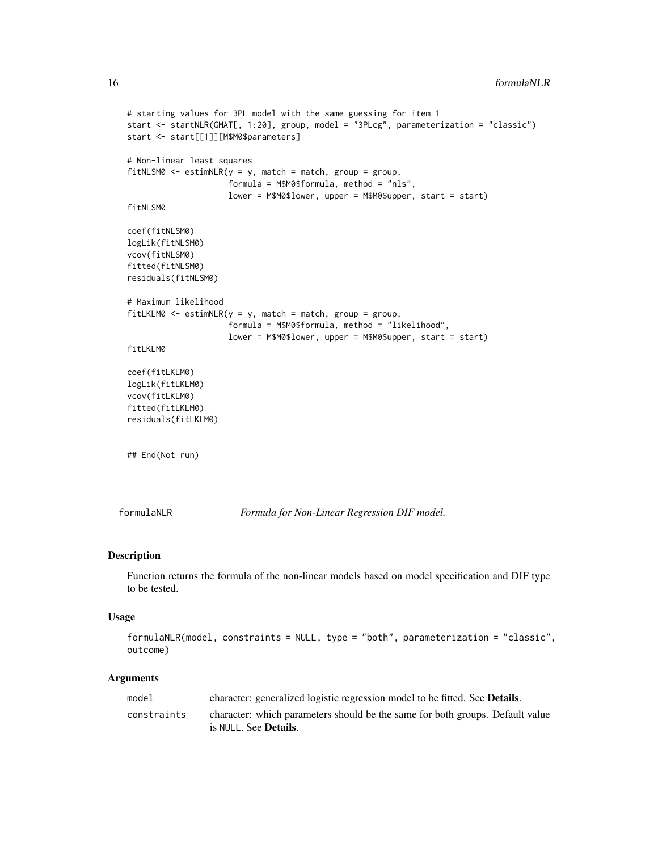```
# starting values for 3PL model with the same guessing for item 1
start <- startNLR(GMAT[, 1:20], group, model = "3PLcg", parameterization = "classic")
start <- start[[1]][M$M0$parameters]
# Non-linear least squares
fitNLSM0 <- estimNLR(y = y, match = match, group = group,
                     formula = M$M0$formula, method = "nls",
                     lower = M$M0$lower, upper = M$M0$upper, start = start)
fitNLSM0
coef(fitNLSM0)
logLik(fitNLSM0)
vcov(fitNLSM0)
fitted(fitNLSM0)
residuals(fitNLSM0)
# Maximum likelihood
fitLKM0 \leq estimNLR(y = y, match = match, group = group,formula = M$M0$formula, method = "likelihood",
                     lower = M$M0$lower, upper = M$M0$upper, start = start)
fitLKLM0
coef(fitLKLM0)
logLik(fitLKLM0)
vcov(fitLKLM0)
fitted(fitLKLM0)
residuals(fitLKLM0)
## End(Not run)
```
formulaNLR *Formula for Non-Linear Regression DIF model.*

# Description

Function returns the formula of the non-linear models based on model specification and DIF type to be tested.

#### Usage

```
formulaNLR(model, constraints = NULL, type = "both", parameterization = "classic",
outcome)
```
#### Arguments

| model       | character: generalized logistic regression model to be fitted. See <b>Details</b> .                            |
|-------------|----------------------------------------------------------------------------------------------------------------|
| constraints | character: which parameters should be the same for both groups. Default value<br>is NULL. See <b>Details</b> . |

<span id="page-15-0"></span>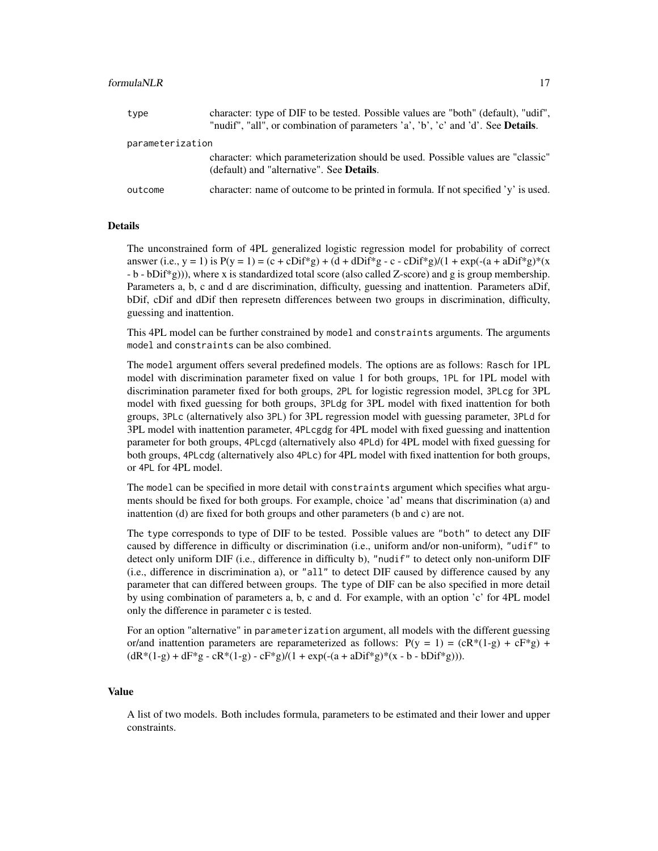#### formulaNLR 17

| type             | character: type of DIF to be tested. Possible values are "both" (default), "udif",<br>"nudif", "all", or combination of parameters 'a', 'b', 'c' and 'd'. See <b>Details</b> . |  |  |
|------------------|--------------------------------------------------------------------------------------------------------------------------------------------------------------------------------|--|--|
| parameterization |                                                                                                                                                                                |  |  |
|                  | character: which parameterization should be used. Possible values are "classic"<br>(default) and "alternative". See <b>Details</b> .                                           |  |  |
| outcome          | character: name of outcome to be printed in formula. If not specified 'y' is used.                                                                                             |  |  |

# Details

The unconstrained form of 4PL generalized logistic regression model for probability of correct answer (i.e., y = 1) is  $P(y = 1) = (c + cDif^*g) + (d + dDif^*g - c - cDif^*g)/(1 + exp(-(a + aDif^*g)^* (x$ - b - bDif\*g))), where x is standardized total score (also called Z-score) and g is group membership. Parameters a, b, c and d are discrimination, difficulty, guessing and inattention. Parameters aDif, bDif, cDif and dDif then represetn differences between two groups in discrimination, difficulty, guessing and inattention.

This 4PL model can be further constrained by model and constraints arguments. The arguments model and constraints can be also combined.

The model argument offers several predefined models. The options are as follows: Rasch for 1PL model with discrimination parameter fixed on value 1 for both groups, 1PL for 1PL model with discrimination parameter fixed for both groups, 2PL for logistic regression model, 3PLcg for 3PL model with fixed guessing for both groups, 3PLdg for 3PL model with fixed inattention for both groups, 3PLc (alternatively also 3PL) for 3PL regression model with guessing parameter, 3PLd for 3PL model with inattention parameter, 4PLcgdg for 4PL model with fixed guessing and inattention parameter for both groups, 4PLcgd (alternatively also 4PLd) for 4PL model with fixed guessing for both groups, 4PLcdg (alternatively also 4PLc) for 4PL model with fixed inattention for both groups, or 4PL for 4PL model.

The model can be specified in more detail with constraints argument which specifies what arguments should be fixed for both groups. For example, choice 'ad' means that discrimination (a) and inattention (d) are fixed for both groups and other parameters (b and c) are not.

The type corresponds to type of DIF to be tested. Possible values are "both" to detect any DIF caused by difference in difficulty or discrimination (i.e., uniform and/or non-uniform), "udif" to detect only uniform DIF (i.e., difference in difficulty b), "nudif" to detect only non-uniform DIF (i.e., difference in discrimination a), or "all" to detect DIF caused by difference caused by any parameter that can differed between groups. The type of DIF can be also specified in more detail by using combination of parameters a, b, c and d. For example, with an option 'c' for 4PL model only the difference in parameter c is tested.

For an option "alternative" in parameterization argument, all models with the different guessing or/and inattention parameters are reparameterized as follows:  $P(y = 1) = (cR^*(1-g) + cF^*g) + cF^*g$  $(dR*(1-g) + dF*g - cR*(1-g) - cF*g)/(1 + exp(-(a + aDif*g)*(x - b - bDif*g))).$ 

#### Value

A list of two models. Both includes formula, parameters to be estimated and their lower and upper constraints.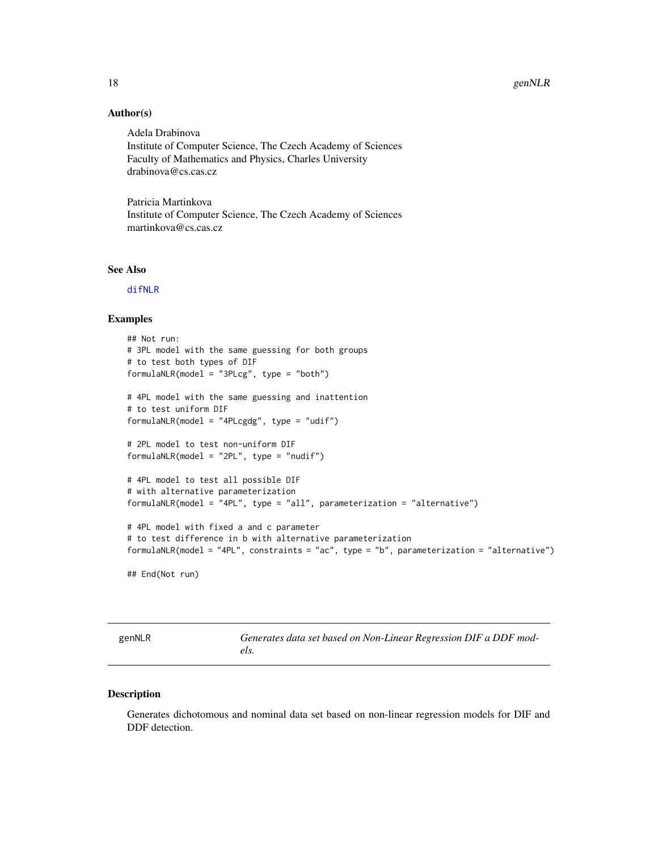#### <span id="page-17-0"></span>Author(s)

Adela Drabinova Institute of Computer Science, The Czech Academy of Sciences Faculty of Mathematics and Physics, Charles University drabinova@cs.cas.cz

Patricia Martinkova Institute of Computer Science, The Czech Academy of Sciences martinkova@cs.cas.cz

#### See Also

[difNLR](#page-7-1)

# Examples

```
## Not run:
# 3PL model with the same guessing for both groups
# to test both types of DIF
formulaNLR(model = "3PLcg", type = "both")
# 4PL model with the same guessing and inattention
# to test uniform DIF
formulaNLR(model = "4PLcgdg", type = "udif")
# 2PL model to test non-uniform DIF
formulaNLR(model = "2PL", type = "nudif")
# 4PL model to test all possible DIF
# with alternative parameterization
formulaNLR(model = "4PL", type = "all", parameterization = "alternative")
# 4PL model with fixed a and c parameter
# to test difference in b with alternative parameterization
formulaNLR(model = "4PL", constraints = "ac", type = "b", parameterization = "alternative")
```
## End(Not run)

genNLR *Generates data set based on Non-Linear Regression DIF a DDF models.*

#### Description

Generates dichotomous and nominal data set based on non-linear regression models for DIF and DDF detection.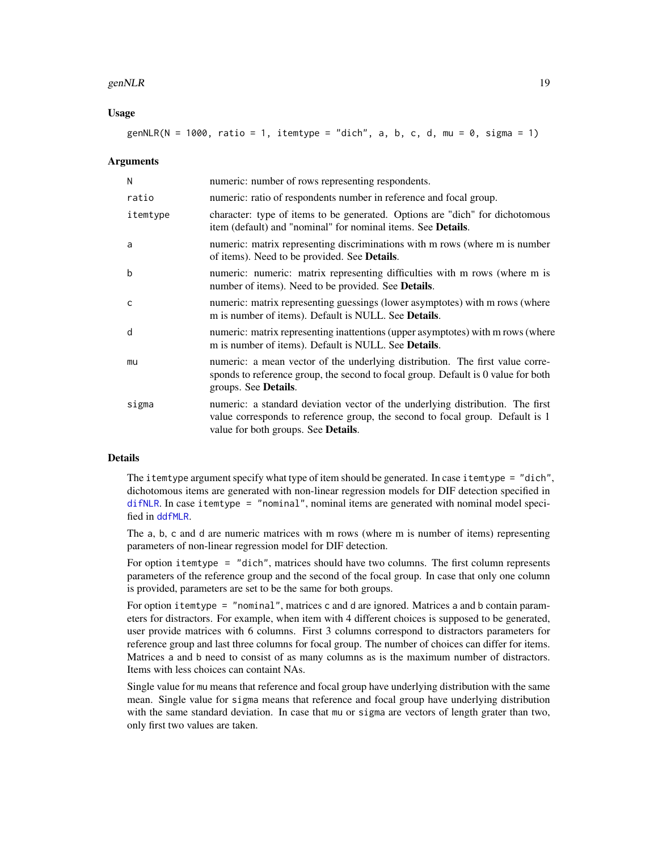#### <span id="page-18-0"></span>genNLR  $\qquad \qquad$  19

# Usage

| genNLR(N = 1000, ratio = 1, itemtype = "dich", a, b, c, d, mu = 0, sigma = 1) |
|-------------------------------------------------------------------------------|
|-------------------------------------------------------------------------------|

#### Arguments

| N            | numeric: number of rows representing respondents.                                                                                                                                                      |
|--------------|--------------------------------------------------------------------------------------------------------------------------------------------------------------------------------------------------------|
| ratio        | numeric: ratio of respondents number in reference and focal group.                                                                                                                                     |
| itemtype     | character: type of items to be generated. Options are "dich" for dichotomous<br>item (default) and "nominal" for nominal items. See <b>Details</b> .                                                   |
| a            | numeric: matrix representing discriminations with m rows (where m is number<br>of items). Need to be provided. See <b>Details</b> .                                                                    |
| b            | numeric: numeric: matrix representing difficulties with m rows (where m is<br>number of items). Need to be provided. See <b>Details</b> .                                                              |
| $\mathsf{C}$ | numeric: matrix representing guessings (lower asymptotes) with m rows (where<br>m is number of items). Default is NULL. See <b>Details</b> .                                                           |
| d            | numeric: matrix representing inattentions (upper asymptotes) with m rows (where<br>m is number of items). Default is NULL. See <b>Details</b> .                                                        |
| mu           | numeric: a mean vector of the underlying distribution. The first value corre-<br>sponds to reference group, the second to focal group. Default is 0 value for both<br>groups. See Details.             |
| sigma        | numeric: a standard deviation vector of the underlying distribution. The first<br>value corresponds to reference group, the second to focal group. Default is 1<br>value for both groups. See Details. |

# Details

The itemtype argument specify what type of item should be generated. In case itemtype = "dich", dichotomous items are generated with non-linear regression models for DIF detection specified in [difNLR](#page-7-1). In case itemtype = "nominal", nominal items are generated with nominal model specified in [ddfMLR](#page-3-1).

The a, b, c and d are numeric matrices with m rows (where m is number of items) representing parameters of non-linear regression model for DIF detection.

For option itemtype = "dich", matrices should have two columns. The first column represents parameters of the reference group and the second of the focal group. In case that only one column is provided, parameters are set to be the same for both groups.

For option itemtype = "nominal", matrices c and d are ignored. Matrices a and b contain parameters for distractors. For example, when item with 4 different choices is supposed to be generated, user provide matrices with 6 columns. First 3 columns correspond to distractors parameters for reference group and last three columns for focal group. The number of choices can differ for items. Matrices a and b need to consist of as many columns as is the maximum number of distractors. Items with less choices can containt NAs.

Single value for mu means that reference and focal group have underlying distribution with the same mean. Single value for sigma means that reference and focal group have underlying distribution with the same standard deviation. In case that mu or sigma are vectors of length grater than two, only first two values are taken.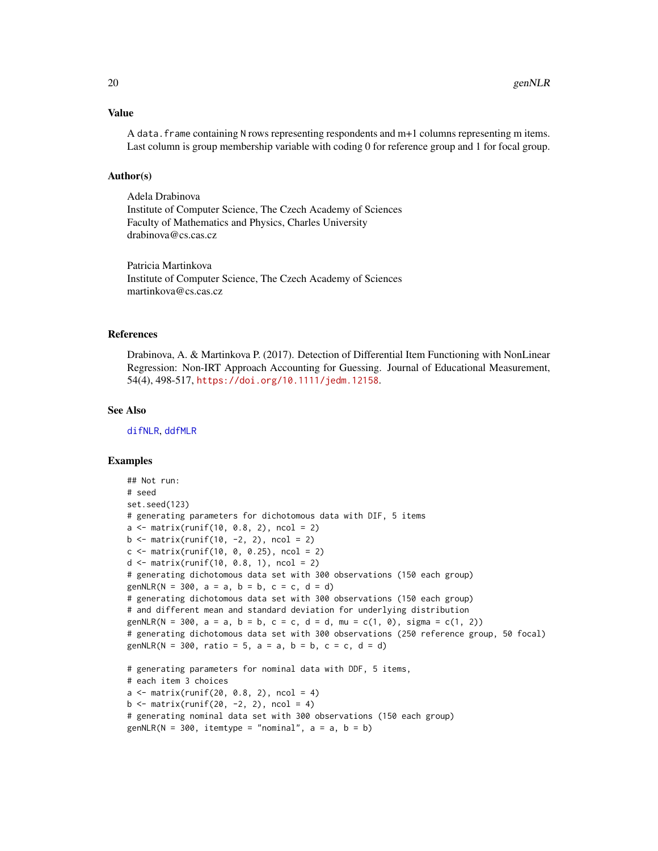#### <span id="page-19-0"></span>Value

A data. frame containing N rows representing respondents and  $m+1$  columns representing m items. Last column is group membership variable with coding 0 for reference group and 1 for focal group.

#### Author(s)

Adela Drabinova Institute of Computer Science, The Czech Academy of Sciences Faculty of Mathematics and Physics, Charles University drabinova@cs.cas.cz

Patricia Martinkova Institute of Computer Science, The Czech Academy of Sciences martinkova@cs.cas.cz

#### References

Drabinova, A. & Martinkova P. (2017). Detection of Differential Item Functioning with NonLinear Regression: Non-IRT Approach Accounting for Guessing. Journal of Educational Measurement, 54(4), 498-517, <https://doi.org/10.1111/jedm.12158>.

# See Also

[difNLR](#page-7-1), [ddfMLR](#page-3-1)

#### Examples

```
## Not run:
# seed
set.seed(123)
# generating parameters for dichotomous data with DIF, 5 items
a \le matrix(runif(10, 0.8, 2), ncol = 2)
b \le matrix(runif(10, -2, 2), ncol = 2)
c \le matrix(runif(10, 0, 0.25), ncol = 2)
d <- matrix(runif(10, 0.8, 1), ncol = 2)
# generating dichotomous data set with 300 observations (150 each group)
genNLR(N = 300, a = a, b = b, c = c, d = d)
# generating dichotomous data set with 300 observations (150 each group)
# and different mean and standard deviation for underlying distribution
genNLR(N = 300, a = a, b = b, c = c, d = d, mu = c(1, 0), sigma = c(1, 2))
# generating dichotomous data set with 300 observations (250 reference group, 50 focal)
genNLR(N = 300, ratio = 5, a = a, b = b, c = c, d = d)
# generating parameters for nominal data with DDF, 5 items,
# each item 3 choices
a \leq -\text{matrix}(\text{runif}(20, 0.8, 2), \text{ncol} = 4)b \le matrix(runif(20, -2, 2), ncol = 4)
# generating nominal data set with 300 observations (150 each group)
```

```
genNLR(N = 300, itemtype = "nominal", a = a, b = b)
```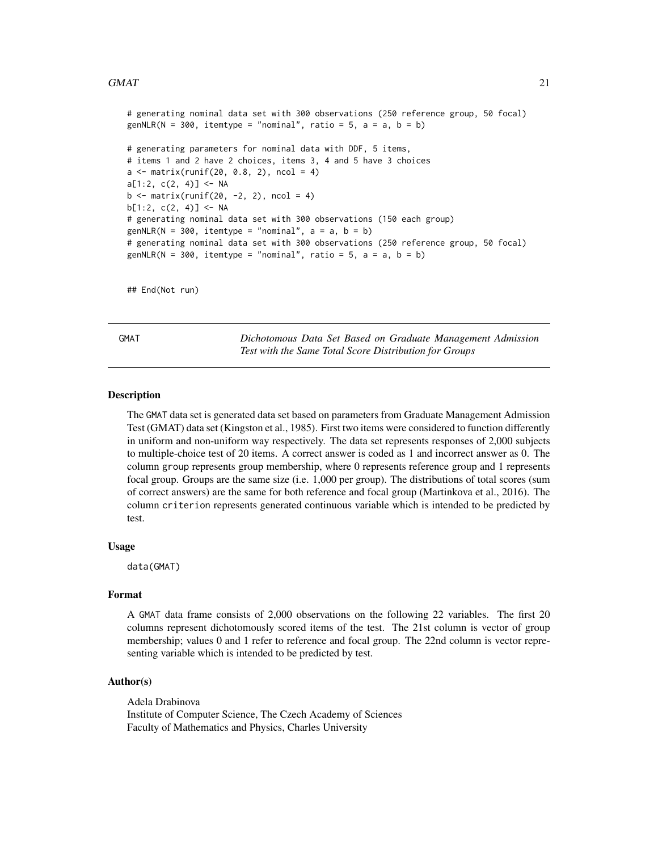#### <span id="page-20-0"></span> $GMAT$  21

```
# generating nominal data set with 300 observations (250 reference group, 50 focal)
genNLR(N = 300, itemtype = "nominal", ratio = 5, a = a, b = b)
# generating parameters for nominal data with DDF, 5 items,
# items 1 and 2 have 2 choices, items 3, 4 and 5 have 3 choices
a \leq -\text{matrix}(\text{runif}(20, 0.8, 2), \text{ncol} = 4)a[1:2, c(2, 4)] <- NA
b \le - matrix(runif(20, -2, 2), ncol = 4)
b[1:2, c(2, 4)] <- NA
# generating nominal data set with 300 observations (150 each group)
genNLR(N = 300, itemtype = "nominal", a = a, b = b)
# generating nominal data set with 300 observations (250 reference group, 50 focal)
genNLR(N = 300, itemtype = "nominal", ratio = 5, a = a, b = b)
```
## End(Not run)

<span id="page-20-1"></span>GMAT *Dichotomous Data Set Based on Graduate Management Admission Test with the Same Total Score Distribution for Groups*

# **Description**

The GMAT data set is generated data set based on parameters from Graduate Management Admission Test (GMAT) data set (Kingston et al., 1985). First two items were considered to function differently in uniform and non-uniform way respectively. The data set represents responses of 2,000 subjects to multiple-choice test of 20 items. A correct answer is coded as 1 and incorrect answer as 0. The column group represents group membership, where 0 represents reference group and 1 represents focal group. Groups are the same size (i.e. 1,000 per group). The distributions of total scores (sum of correct answers) are the same for both reference and focal group (Martinkova et al., 2016). The column criterion represents generated continuous variable which is intended to be predicted by test.

#### Usage

data(GMAT)

#### Format

A GMAT data frame consists of 2,000 observations on the following 22 variables. The first 20 columns represent dichotomously scored items of the test. The 21st column is vector of group membership; values 0 and 1 refer to reference and focal group. The 22nd column is vector representing variable which is intended to be predicted by test.

#### Author(s)

Adela Drabinova Institute of Computer Science, The Czech Academy of Sciences Faculty of Mathematics and Physics, Charles University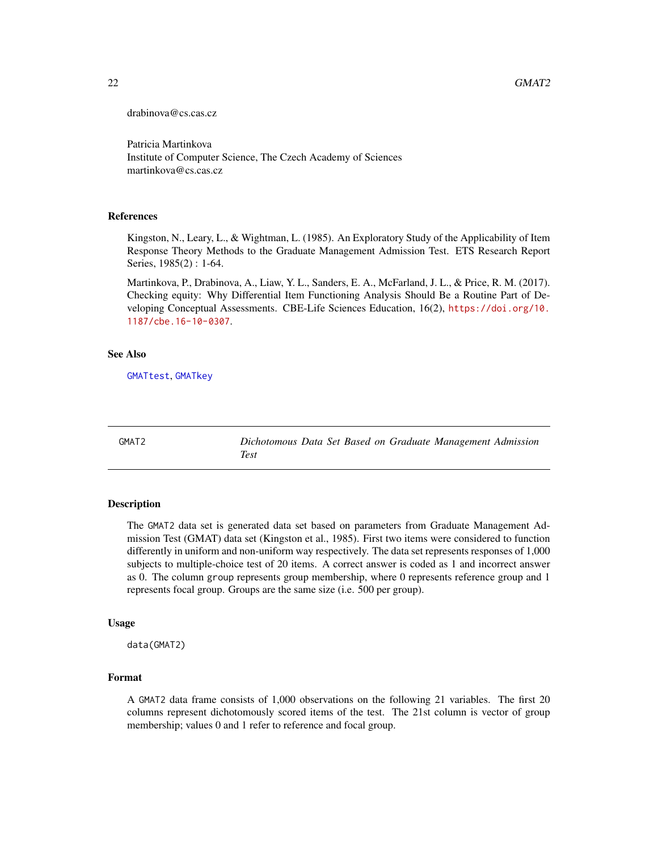<span id="page-21-0"></span>drabinova@cs.cas.cz

Patricia Martinkova Institute of Computer Science, The Czech Academy of Sciences martinkova@cs.cas.cz

#### References

Kingston, N., Leary, L., & Wightman, L. (1985). An Exploratory Study of the Applicability of Item Response Theory Methods to the Graduate Management Admission Test. ETS Research Report Series, 1985(2) : 1-64.

Martinkova, P., Drabinova, A., Liaw, Y. L., Sanders, E. A., McFarland, J. L., & Price, R. M. (2017). Checking equity: Why Differential Item Functioning Analysis Should Be a Routine Part of Developing Conceptual Assessments. CBE-Life Sciences Education, 16(2), [https://doi.org/10.](https://doi.org/10.1187/cbe.16-10-0307) [1187/cbe.16-10-0307](https://doi.org/10.1187/cbe.16-10-0307).

#### See Also

[GMATtest](#page-25-1), [GMATkey](#page-24-1)

<span id="page-21-1"></span>GMAT2 *Dichotomous Data Set Based on Graduate Management Admission Test*

#### Description

The GMAT2 data set is generated data set based on parameters from Graduate Management Admission Test (GMAT) data set (Kingston et al., 1985). First two items were considered to function differently in uniform and non-uniform way respectively. The data set represents responses of 1,000 subjects to multiple-choice test of 20 items. A correct answer is coded as 1 and incorrect answer as 0. The column group represents group membership, where 0 represents reference group and 1 represents focal group. Groups are the same size (i.e. 500 per group).

#### Usage

data(GMAT2)

#### Format

A GMAT2 data frame consists of 1,000 observations on the following 21 variables. The first 20 columns represent dichotomously scored items of the test. The 21st column is vector of group membership; values 0 and 1 refer to reference and focal group.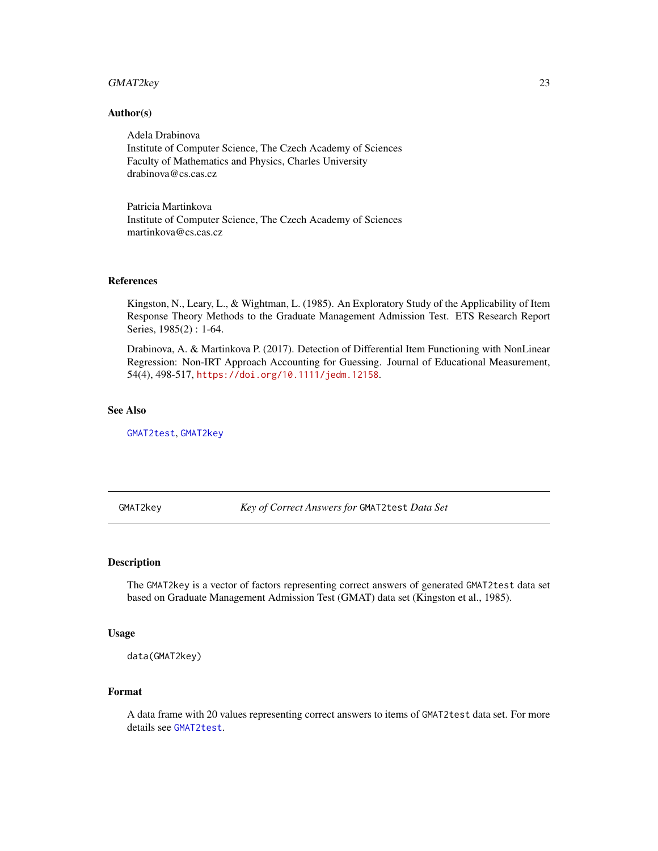# <span id="page-22-0"></span>GMAT2key 23

#### Author(s)

Adela Drabinova Institute of Computer Science, The Czech Academy of Sciences Faculty of Mathematics and Physics, Charles University drabinova@cs.cas.cz

Patricia Martinkova Institute of Computer Science, The Czech Academy of Sciences martinkova@cs.cas.cz

#### References

Kingston, N., Leary, L., & Wightman, L. (1985). An Exploratory Study of the Applicability of Item Response Theory Methods to the Graduate Management Admission Test. ETS Research Report Series, 1985(2) : 1-64.

Drabinova, A. & Martinkova P. (2017). Detection of Differential Item Functioning with NonLinear Regression: Non-IRT Approach Accounting for Guessing. Journal of Educational Measurement, 54(4), 498-517, <https://doi.org/10.1111/jedm.12158>.

#### See Also

[GMAT2test](#page-23-1), [GMAT2key](#page-22-1)

<span id="page-22-1"></span>GMAT2key *Key of Correct Answers for* GMAT2test *Data Set*

## Description

The GMAT2key is a vector of factors representing correct answers of generated GMAT2test data set based on Graduate Management Admission Test (GMAT) data set (Kingston et al., 1985).

#### Usage

```
data(GMAT2key)
```
#### Format

A data frame with 20 values representing correct answers to items of GMAT2test data set. For more details see [GMAT2test](#page-23-1).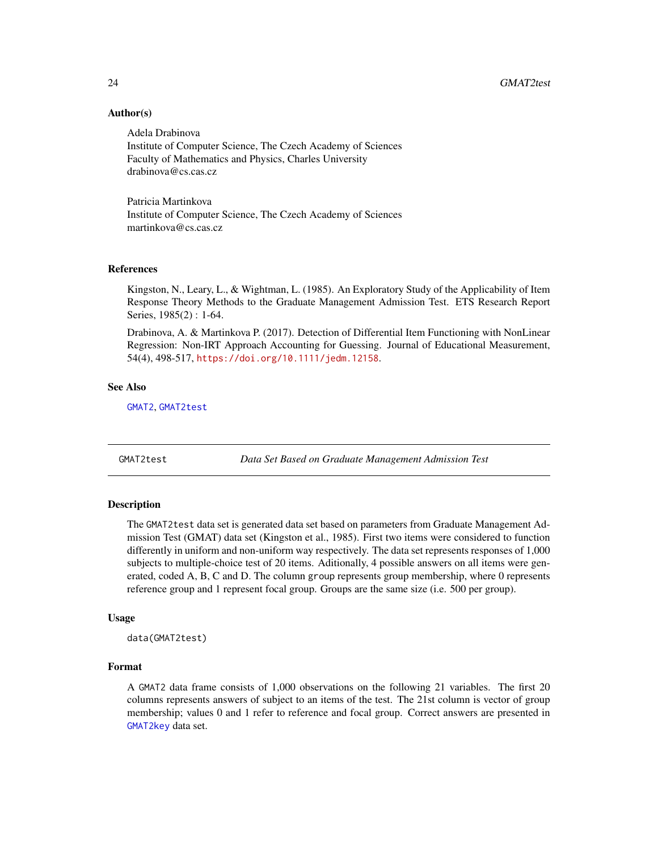# Author(s)

Adela Drabinova Institute of Computer Science, The Czech Academy of Sciences Faculty of Mathematics and Physics, Charles University drabinova@cs.cas.cz

Patricia Martinkova Institute of Computer Science, The Czech Academy of Sciences martinkova@cs.cas.cz

#### References

Kingston, N., Leary, L., & Wightman, L. (1985). An Exploratory Study of the Applicability of Item Response Theory Methods to the Graduate Management Admission Test. ETS Research Report Series, 1985(2) : 1-64.

Drabinova, A. & Martinkova P. (2017). Detection of Differential Item Functioning with NonLinear Regression: Non-IRT Approach Accounting for Guessing. Journal of Educational Measurement, 54(4), 498-517, <https://doi.org/10.1111/jedm.12158>.

#### See Also

[GMAT2](#page-21-1), [GMAT2test](#page-23-1)

<span id="page-23-1"></span>GMAT2test *Data Set Based on Graduate Management Admission Test*

# **Description**

The GMAT2test data set is generated data set based on parameters from Graduate Management Admission Test (GMAT) data set (Kingston et al., 1985). First two items were considered to function differently in uniform and non-uniform way respectively. The data set represents responses of 1,000 subjects to multiple-choice test of 20 items. Aditionally, 4 possible answers on all items were generated, coded A, B, C and D. The column group represents group membership, where 0 represents reference group and 1 represent focal group. Groups are the same size (i.e. 500 per group).

#### Usage

```
data(GMAT2test)
```
# Format

A GMAT2 data frame consists of 1,000 observations on the following 21 variables. The first 20 columns represents answers of subject to an items of the test. The 21st column is vector of group membership; values 0 and 1 refer to reference and focal group. Correct answers are presented in [GMAT2key](#page-22-1) data set.

<span id="page-23-0"></span>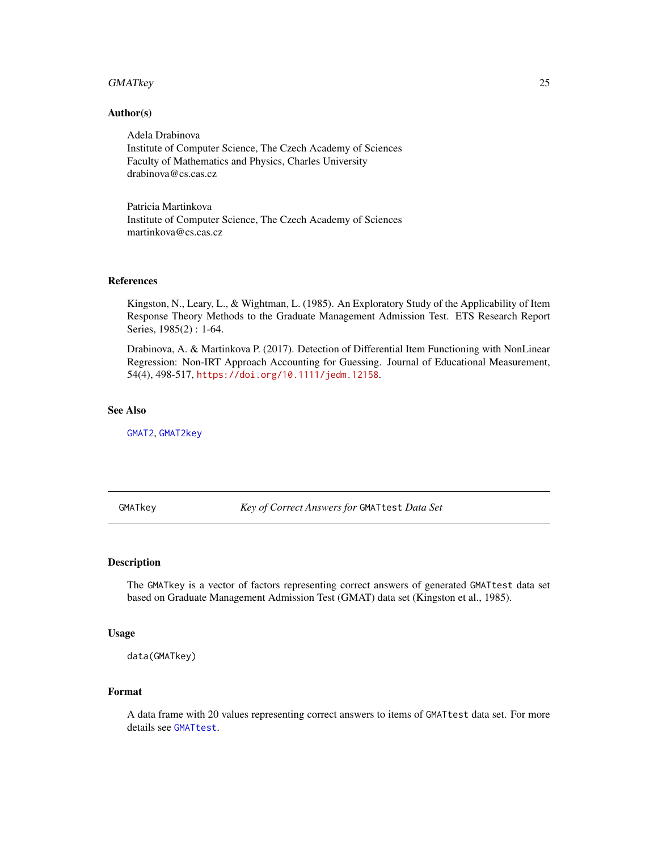#### <span id="page-24-0"></span>GMATkey 25

#### Author(s)

Adela Drabinova Institute of Computer Science, The Czech Academy of Sciences Faculty of Mathematics and Physics, Charles University drabinova@cs.cas.cz

Patricia Martinkova Institute of Computer Science, The Czech Academy of Sciences martinkova@cs.cas.cz

## References

Kingston, N., Leary, L., & Wightman, L. (1985). An Exploratory Study of the Applicability of Item Response Theory Methods to the Graduate Management Admission Test. ETS Research Report Series, 1985(2) : 1-64.

Drabinova, A. & Martinkova P. (2017). Detection of Differential Item Functioning with NonLinear Regression: Non-IRT Approach Accounting for Guessing. Journal of Educational Measurement, 54(4), 498-517, <https://doi.org/10.1111/jedm.12158>.

#### See Also

[GMAT2](#page-21-1), [GMAT2key](#page-22-1)

<span id="page-24-1"></span>GMATkey *Key of Correct Answers for* GMATtest *Data Set*

## Description

The GMATkey is a vector of factors representing correct answers of generated GMATtest data set based on Graduate Management Admission Test (GMAT) data set (Kingston et al., 1985).

#### Usage

data(GMATkey)

#### Format

A data frame with 20 values representing correct answers to items of GMATtest data set. For more details see [GMATtest](#page-25-1).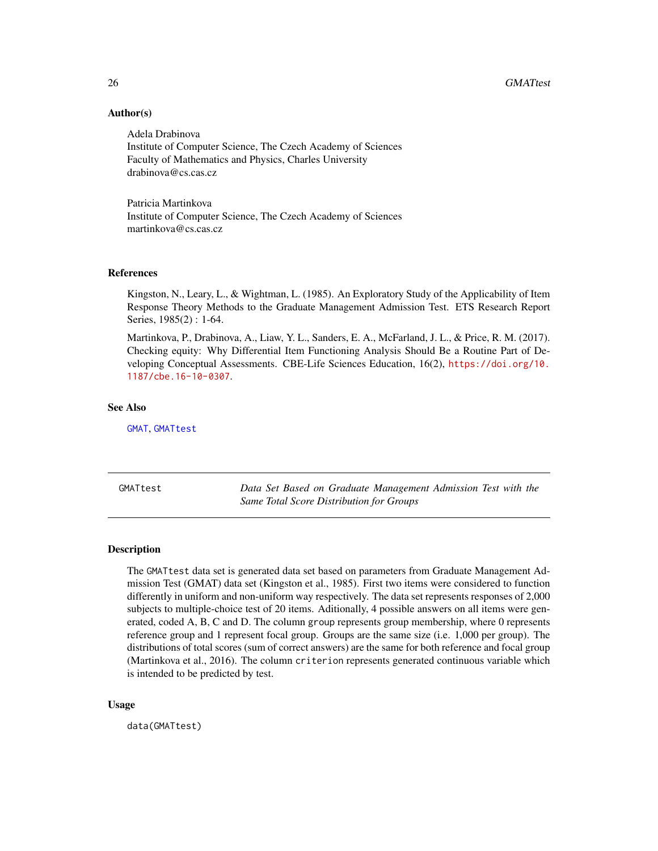26 GMATtest and the contract of the contract of the contract of the contract of the contract of the contract of the contract of the contract of the contract of the contract of the contract of the contract of the contract o

# Author(s)

Adela Drabinova Institute of Computer Science, The Czech Academy of Sciences Faculty of Mathematics and Physics, Charles University drabinova@cs.cas.cz

Patricia Martinkova Institute of Computer Science, The Czech Academy of Sciences martinkova@cs.cas.cz

# References

Kingston, N., Leary, L., & Wightman, L. (1985). An Exploratory Study of the Applicability of Item Response Theory Methods to the Graduate Management Admission Test. ETS Research Report Series, 1985(2) : 1-64.

Martinkova, P., Drabinova, A., Liaw, Y. L., Sanders, E. A., McFarland, J. L., & Price, R. M. (2017). Checking equity: Why Differential Item Functioning Analysis Should Be a Routine Part of Developing Conceptual Assessments. CBE-Life Sciences Education, 16(2), [https://doi.org/10.](https://doi.org/10.1187/cbe.16-10-0307) [1187/cbe.16-10-0307](https://doi.org/10.1187/cbe.16-10-0307).

#### See Also

[GMAT](#page-20-1), [GMATtest](#page-25-1)

<span id="page-25-1"></span>GMATtest *Data Set Based on Graduate Management Admission Test with the Same Total Score Distribution for Groups*

#### Description

The GMATtest data set is generated data set based on parameters from Graduate Management Admission Test (GMAT) data set (Kingston et al., 1985). First two items were considered to function differently in uniform and non-uniform way respectively. The data set represents responses of 2,000 subjects to multiple-choice test of 20 items. Aditionally, 4 possible answers on all items were generated, coded A, B, C and D. The column group represents group membership, where 0 represents reference group and 1 represent focal group. Groups are the same size (i.e. 1,000 per group). The distributions of total scores (sum of correct answers) are the same for both reference and focal group (Martinkova et al., 2016). The column criterion represents generated continuous variable which is intended to be predicted by test.

#### Usage

data(GMATtest)

<span id="page-25-0"></span>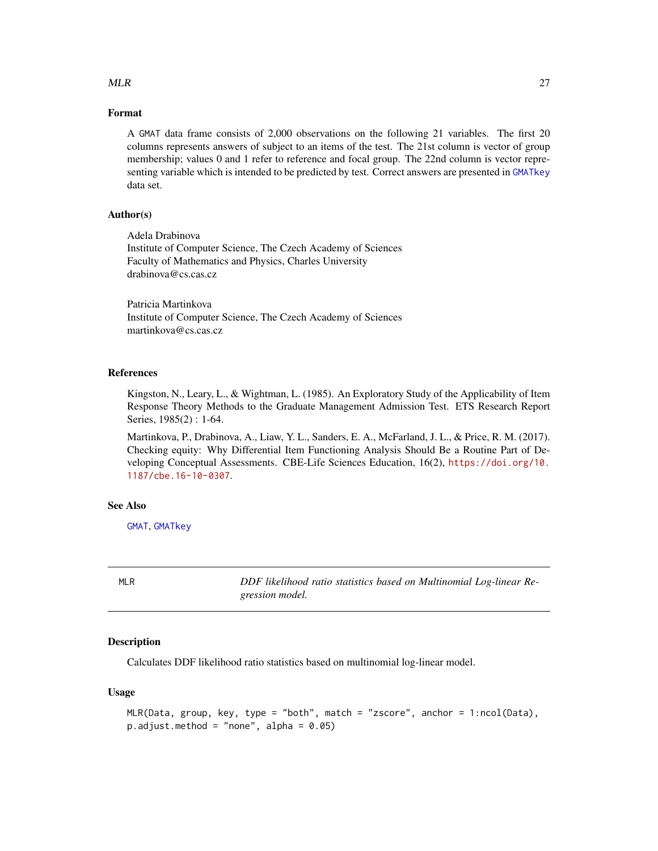# <span id="page-26-0"></span> $MLR$  27

# Format

A GMAT data frame consists of 2,000 observations on the following 21 variables. The first 20 columns represents answers of subject to an items of the test. The 21st column is vector of group membership; values 0 and 1 refer to reference and focal group. The 22nd column is vector representing variable which is intended to be predicted by test. Correct answers are presented in [GMATkey](#page-24-1) data set.

# Author(s)

Adela Drabinova Institute of Computer Science, The Czech Academy of Sciences Faculty of Mathematics and Physics, Charles University drabinova@cs.cas.cz

Patricia Martinkova Institute of Computer Science, The Czech Academy of Sciences martinkova@cs.cas.cz

# References

Kingston, N., Leary, L., & Wightman, L. (1985). An Exploratory Study of the Applicability of Item Response Theory Methods to the Graduate Management Admission Test. ETS Research Report Series, 1985(2) : 1-64.

Martinkova, P., Drabinova, A., Liaw, Y. L., Sanders, E. A., McFarland, J. L., & Price, R. M. (2017). Checking equity: Why Differential Item Functioning Analysis Should Be a Routine Part of Developing Conceptual Assessments. CBE-Life Sciences Education, 16(2), [https://doi.org/10.](https://doi.org/10.1187/cbe.16-10-0307) [1187/cbe.16-10-0307](https://doi.org/10.1187/cbe.16-10-0307).

#### See Also

[GMAT](#page-20-1), [GMATkey](#page-24-1)

MLR *DDF likelihood ratio statistics based on Multinomial Log-linear Regression model.*

# Description

Calculates DDF likelihood ratio statistics based on multinomial log-linear model.

# Usage

```
MLR(Data, group, key, type = "both", match = "zscore", anchor = 1:ncol(Data),
p.addjust.method = "none", alpha = 0.05)
```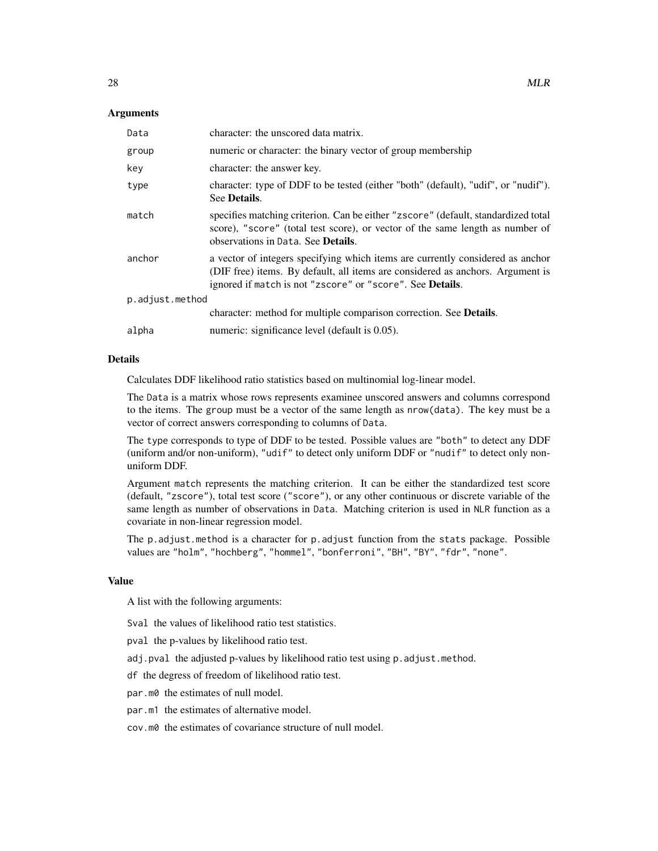# Arguments

| Data            | character: the unscored data matrix.                                                                                                                                                                                                  |
|-----------------|---------------------------------------------------------------------------------------------------------------------------------------------------------------------------------------------------------------------------------------|
| group           | numeric or character: the binary vector of group membership                                                                                                                                                                           |
| key             | character: the answer key.                                                                                                                                                                                                            |
| type            | character: type of DDF to be tested (either "both" (default), "udif", or "nudif").<br>See Details.                                                                                                                                    |
| match           | specifies matching criterion. Can be either "zscore" (default, standardized total<br>score), "score" (total test score), or vector of the same length as number of<br>observations in Data. See Details.                              |
| anchor          | a vector of integers specifying which items are currently considered as anchor<br>(DIF free) items. By default, all items are considered as anchors. Argument is<br>ignored if match is not "zscore" or "score". See <b>Details</b> . |
| p.adjust.method |                                                                                                                                                                                                                                       |
|                 | character: method for multiple comparison correction. See Details.                                                                                                                                                                    |
| alpha           | numeric: significance level (default is 0.05).                                                                                                                                                                                        |

## Details

Calculates DDF likelihood ratio statistics based on multinomial log-linear model.

The Data is a matrix whose rows represents examinee unscored answers and columns correspond to the items. The group must be a vector of the same length as nrow(data). The key must be a vector of correct answers corresponding to columns of Data.

The type corresponds to type of DDF to be tested. Possible values are "both" to detect any DDF (uniform and/or non-uniform), "udif" to detect only uniform DDF or "nudif" to detect only nonuniform DDF.

Argument match represents the matching criterion. It can be either the standardized test score (default, "zscore"), total test score ("score"), or any other continuous or discrete variable of the same length as number of observations in Data. Matching criterion is used in NLR function as a covariate in non-linear regression model.

The p.adjust.method is a character for p.adjust function from the stats package. Possible values are "holm", "hochberg", "hommel", "bonferroni", "BH", "BY", "fdr", "none".

#### Value

A list with the following arguments:

Sval the values of likelihood ratio test statistics.

pval the p-values by likelihood ratio test.

adj.pval the adjusted p-values by likelihood ratio test using p.adjust.method.

df the degress of freedom of likelihood ratio test.

par.m0 the estimates of null model.

par.m1 the estimates of alternative model.

cov.m0 the estimates of covariance structure of null model.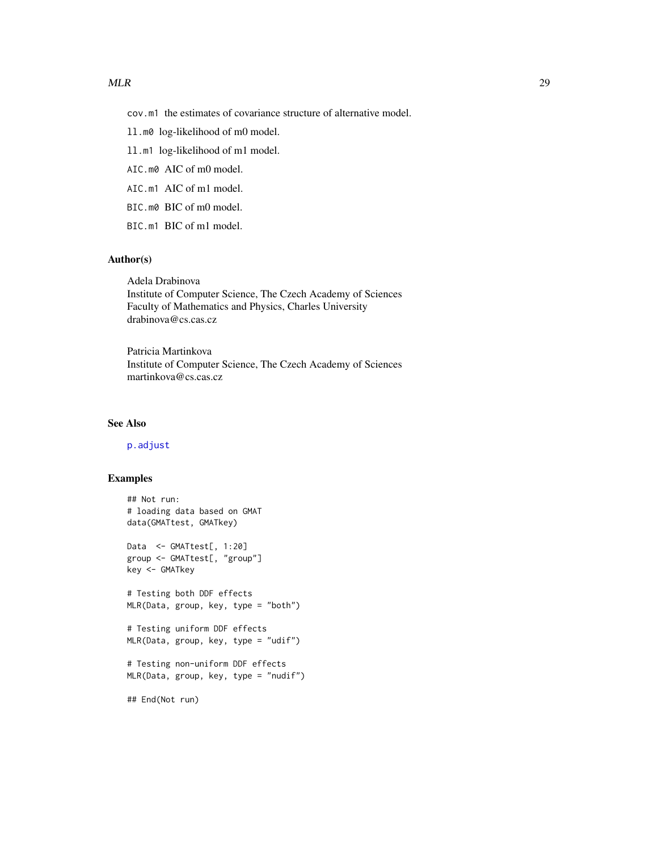<span id="page-28-0"></span>cov.m1 the estimates of covariance structure of alternative model.

ll.m0 log-likelihood of m0 model.

ll.m1 log-likelihood of m1 model.

AIC.m0 AIC of m0 model.

AIC.m1 AIC of m1 model.

BIC.m0 BIC of m0 model.

BIC.m1 BIC of m1 model.

# Author(s)

Adela Drabinova Institute of Computer Science, The Czech Academy of Sciences Faculty of Mathematics and Physics, Charles University drabinova@cs.cas.cz

Patricia Martinkova Institute of Computer Science, The Czech Academy of Sciences martinkova@cs.cas.cz

# See Also

[p.adjust](#page-0-0)

# Examples

```
## Not run:
# loading data based on GMAT
data(GMATtest, GMATkey)
Data <- GMATtest[, 1:20]
group <- GMATtest[, "group"]
key <- GMATkey
# Testing both DDF effects
MLR(Data, group, key, type = "both")
# Testing uniform DDF effects
MLR(Data, group, key, type = "udif")
# Testing non-uniform DDF effects
MLR(Data, group, key, type = "nudif")
```
## End(Not run)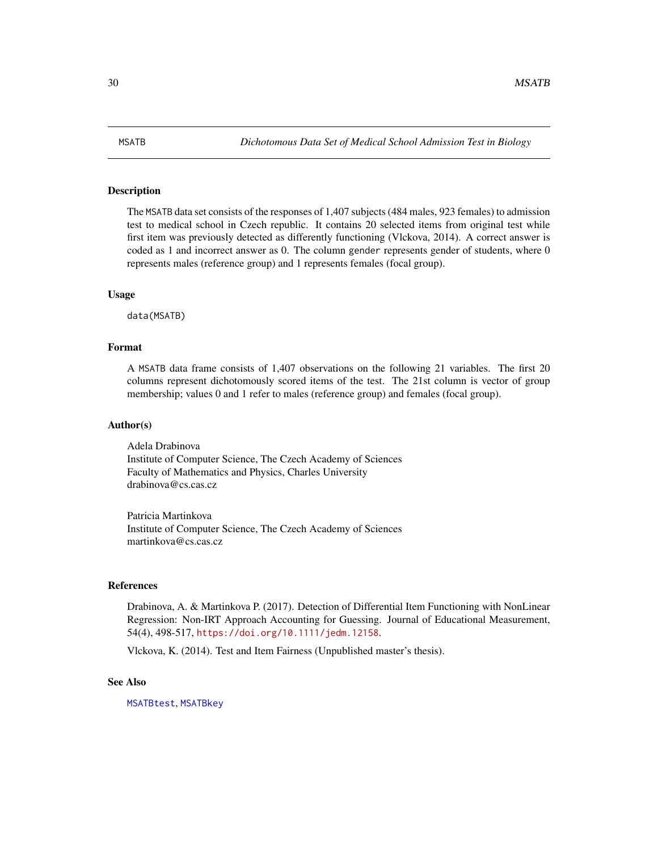<span id="page-29-1"></span><span id="page-29-0"></span>The MSATB data set consists of the responses of 1,407 subjects (484 males, 923 females) to admission test to medical school in Czech republic. It contains 20 selected items from original test while first item was previously detected as differently functioning (Vlckova, 2014). A correct answer is coded as 1 and incorrect answer as 0. The column gender represents gender of students, where 0 represents males (reference group) and 1 represents females (focal group).

#### Usage

data(MSATB)

#### Format

A MSATB data frame consists of 1,407 observations on the following 21 variables. The first 20 columns represent dichotomously scored items of the test. The 21st column is vector of group membership; values 0 and 1 refer to males (reference group) and females (focal group).

#### Author(s)

Adela Drabinova Institute of Computer Science, The Czech Academy of Sciences Faculty of Mathematics and Physics, Charles University drabinova@cs.cas.cz

Patricia Martinkova Institute of Computer Science, The Czech Academy of Sciences martinkova@cs.cas.cz

# References

Drabinova, A. & Martinkova P. (2017). Detection of Differential Item Functioning with NonLinear Regression: Non-IRT Approach Accounting for Guessing. Journal of Educational Measurement, 54(4), 498-517, <https://doi.org/10.1111/jedm.12158>.

Vlckova, K. (2014). Test and Item Fairness (Unpublished master's thesis).

#### See Also

[MSATBtest](#page-31-1), [MSATBkey](#page-30-1)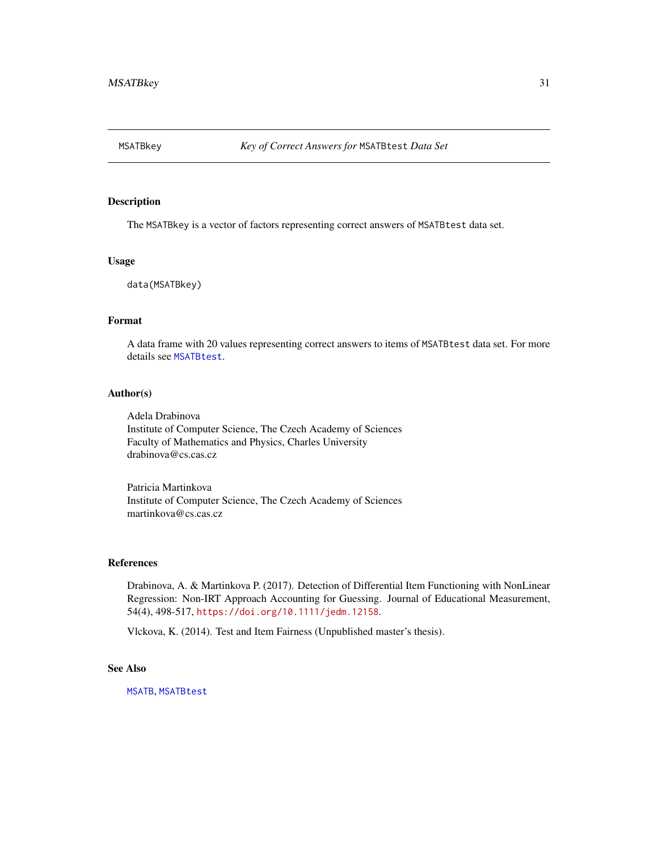<span id="page-30-1"></span><span id="page-30-0"></span>

The MSATBkey is a vector of factors representing correct answers of MSATBtest data set.

# Usage

data(MSATBkey)

# Format

A data frame with 20 values representing correct answers to items of MSATBtest data set. For more details see [MSATBtest](#page-31-1).

# Author(s)

Adela Drabinova Institute of Computer Science, The Czech Academy of Sciences Faculty of Mathematics and Physics, Charles University drabinova@cs.cas.cz

Patricia Martinkova Institute of Computer Science, The Czech Academy of Sciences martinkova@cs.cas.cz

#### References

Drabinova, A. & Martinkova P. (2017). Detection of Differential Item Functioning with NonLinear Regression: Non-IRT Approach Accounting for Guessing. Journal of Educational Measurement, 54(4), 498-517, <https://doi.org/10.1111/jedm.12158>.

Vlckova, K. (2014). Test and Item Fairness (Unpublished master's thesis).

# See Also

[MSATB](#page-29-1), [MSATBtest](#page-31-1)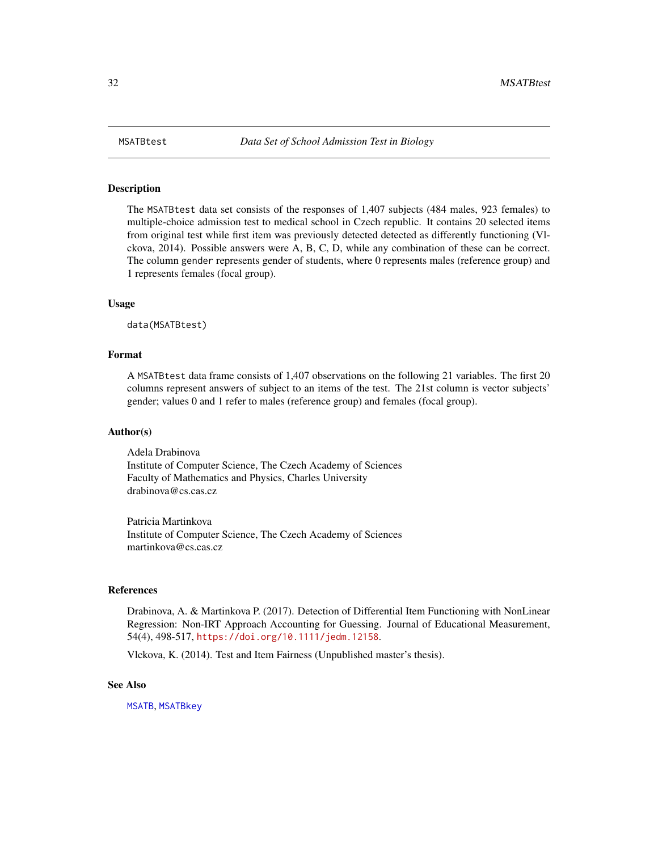<span id="page-31-1"></span><span id="page-31-0"></span>

The MSATBtest data set consists of the responses of 1,407 subjects (484 males, 923 females) to multiple-choice admission test to medical school in Czech republic. It contains 20 selected items from original test while first item was previously detected detected as differently functioning (Vlckova, 2014). Possible answers were A, B, C, D, while any combination of these can be correct. The column gender represents gender of students, where 0 represents males (reference group) and 1 represents females (focal group).

#### Usage

data(MSATBtest)

# Format

A MSATBtest data frame consists of 1,407 observations on the following 21 variables. The first 20 columns represent answers of subject to an items of the test. The 21st column is vector subjects' gender; values 0 and 1 refer to males (reference group) and females (focal group).

# Author(s)

Adela Drabinova Institute of Computer Science, The Czech Academy of Sciences Faculty of Mathematics and Physics, Charles University drabinova@cs.cas.cz

Patricia Martinkova Institute of Computer Science, The Czech Academy of Sciences martinkova@cs.cas.cz

# References

Drabinova, A. & Martinkova P. (2017). Detection of Differential Item Functioning with NonLinear Regression: Non-IRT Approach Accounting for Guessing. Journal of Educational Measurement, 54(4), 498-517, <https://doi.org/10.1111/jedm.12158>.

Vlckova, K. (2014). Test and Item Fairness (Unpublished master's thesis).

# See Also

[MSATB](#page-29-1), [MSATBkey](#page-30-1)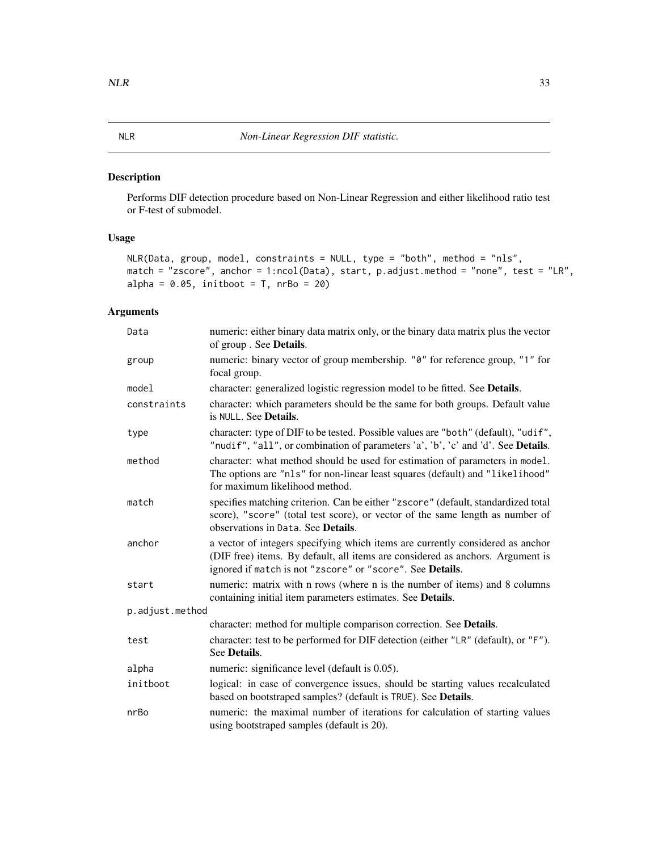<span id="page-32-0"></span>Performs DIF detection procedure based on Non-Linear Regression and either likelihood ratio test or F-test of submodel.

# Usage

```
NLR(Data, group, model, constraints = NULL, type = "both", method = "nls",
match = "zscore", anchor = 1:ncol(Data), start, p.adjust.method = "none", test = "LR",
alpha = 0.05, initboot = T, nrBo = 20)
```
# Arguments

| Data            | numeric: either binary data matrix only, or the binary data matrix plus the vector<br>of group. See Details.                                                                                                                  |
|-----------------|-------------------------------------------------------------------------------------------------------------------------------------------------------------------------------------------------------------------------------|
| group           | numeric: binary vector of group membership. "0" for reference group, "1" for<br>focal group.                                                                                                                                  |
| model           | character: generalized logistic regression model to be fitted. See Details.                                                                                                                                                   |
| constraints     | character: which parameters should be the same for both groups. Default value<br>is NULL. See Details.                                                                                                                        |
| type            | character: type of DIF to be tested. Possible values are "both" (default), "udif",<br>"nudif", "all", or combination of parameters 'a', 'b', 'c' and 'd'. See Details.                                                        |
| method          | character: what method should be used for estimation of parameters in model.<br>The options are "nls" for non-linear least squares (default) and "likelihood"<br>for maximum likelihood method.                               |
| match           | specifies matching criterion. Can be either "zscore" (default, standardized total<br>score), "score" (total test score), or vector of the same length as number of<br>observations in Data. See <b>Details</b> .              |
| anchor          | a vector of integers specifying which items are currently considered as anchor<br>(DIF free) items. By default, all items are considered as anchors. Argument is<br>ignored if match is not "zscore" or "score". See Details. |
| start           | numeric: matrix with n rows (where n is the number of items) and 8 columns<br>containing initial item parameters estimates. See Details.                                                                                      |
| p.adjust.method |                                                                                                                                                                                                                               |
|                 | character: method for multiple comparison correction. See Details.                                                                                                                                                            |
| test            | character: test to be performed for DIF detection (either "LR" (default), or "F").<br>See Details.                                                                                                                            |
| alpha           | numeric: significance level (default is 0.05).                                                                                                                                                                                |
| initboot        | logical: in case of convergence issues, should be starting values recalculated<br>based on bootstraped samples? (default is TRUE). See Details.                                                                               |
| nrBo            | numeric: the maximal number of iterations for calculation of starting values<br>using bootstraped samples (default is 20).                                                                                                    |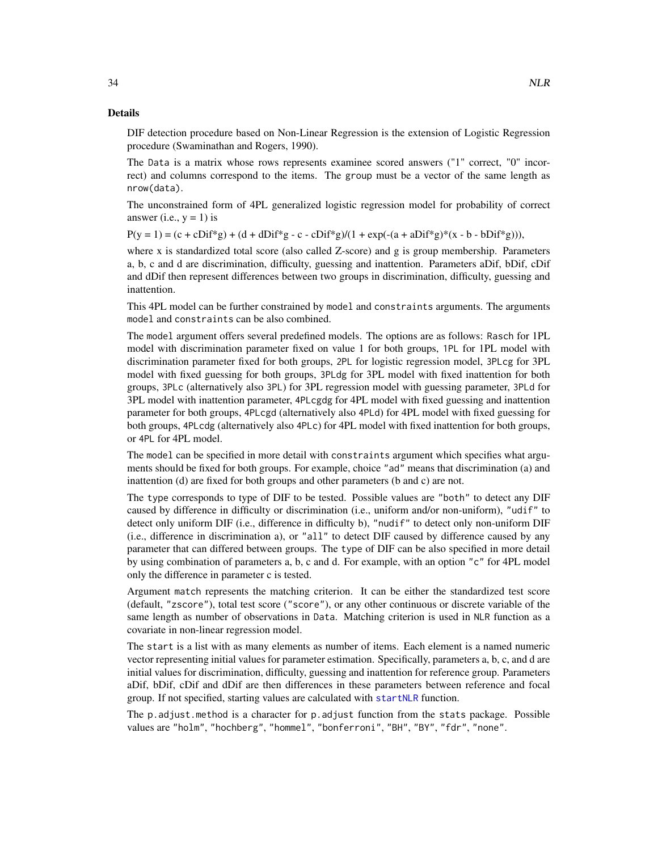#### <span id="page-33-0"></span>Details

DIF detection procedure based on Non-Linear Regression is the extension of Logistic Regression procedure (Swaminathan and Rogers, 1990).

The Data is a matrix whose rows represents examinee scored answers ("1" correct, "0" incorrect) and columns correspond to the items. The group must be a vector of the same length as nrow(data).

The unconstrained form of 4PL generalized logistic regression model for probability of correct answer (i.e.,  $y = 1$ ) is

 $P(y = 1) = (c + cDif^{*}g) + (d + dDif^{*}g - c - cDif^{*}g)/(1 + exp(-(a + aDif^{*}g))^{*}(x - b - bDif^{*}g)))$ ,

where x is standardized total score (also called Z-score) and g is group membership. Parameters a, b, c and d are discrimination, difficulty, guessing and inattention. Parameters aDif, bDif, cDif and dDif then represent differences between two groups in discrimination, difficulty, guessing and inattention.

This 4PL model can be further constrained by model and constraints arguments. The arguments model and constraints can be also combined.

The model argument offers several predefined models. The options are as follows: Rasch for 1PL model with discrimination parameter fixed on value 1 for both groups, 1PL for 1PL model with discrimination parameter fixed for both groups, 2PL for logistic regression model, 3PLcg for 3PL model with fixed guessing for both groups, 3PLdg for 3PL model with fixed inattention for both groups, 3PLc (alternatively also 3PL) for 3PL regression model with guessing parameter, 3PLd for 3PL model with inattention parameter, 4PLcgdg for 4PL model with fixed guessing and inattention parameter for both groups, 4PLcgd (alternatively also 4PLd) for 4PL model with fixed guessing for both groups, 4PLcdg (alternatively also 4PLc) for 4PL model with fixed inattention for both groups, or 4PL for 4PL model.

The model can be specified in more detail with constraints argument which specifies what arguments should be fixed for both groups. For example, choice "ad" means that discrimination (a) and inattention (d) are fixed for both groups and other parameters (b and c) are not.

The type corresponds to type of DIF to be tested. Possible values are "both" to detect any DIF caused by difference in difficulty or discrimination (i.e., uniform and/or non-uniform), "udif" to detect only uniform DIF (i.e., difference in difficulty b), "nudif" to detect only non-uniform DIF (i.e., difference in discrimination a), or "all" to detect DIF caused by difference caused by any parameter that can differed between groups. The type of DIF can be also specified in more detail by using combination of parameters a, b, c and d. For example, with an option "c" for 4PL model only the difference in parameter c is tested.

Argument match represents the matching criterion. It can be either the standardized test score (default, "zscore"), total test score ("score"), or any other continuous or discrete variable of the same length as number of observations in Data. Matching criterion is used in NLR function as a covariate in non-linear regression model.

The start is a list with as many elements as number of items. Each element is a named numeric vector representing initial values for parameter estimation. Specifically, parameters a, b, c, and d are initial values for discrimination, difficulty, guessing and inattention for reference group. Parameters aDif, bDif, cDif and dDif are then differences in these parameters between reference and focal group. If not specified, starting values are calculated with [startNLR](#page-39-1) function.

The p.adjust.method is a character for p.adjust function from the stats package. Possible values are "holm", "hochberg", "hommel", "bonferroni", "BH", "BY", "fdr", "none".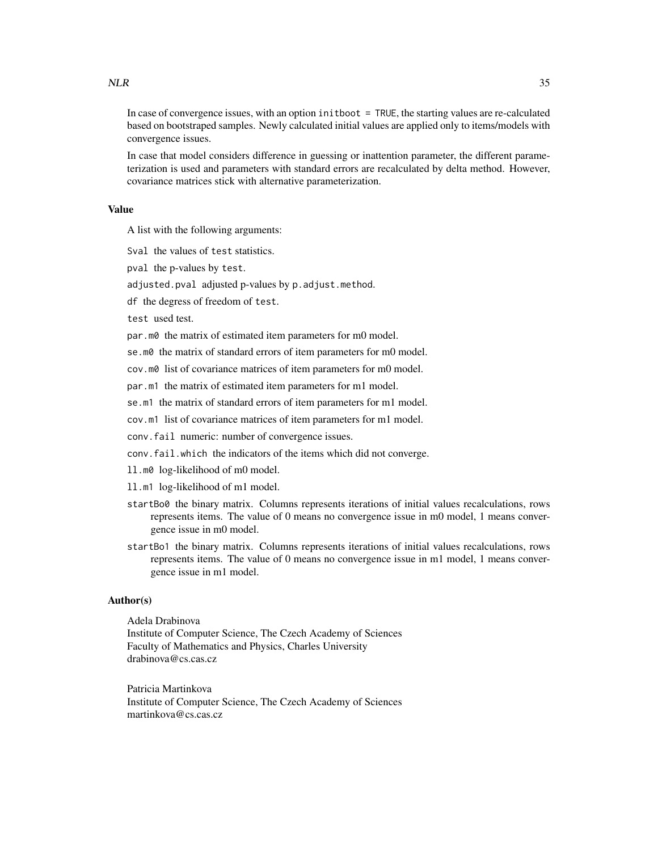In case of convergence issues, with an option init boot = TRUE, the starting values are re-calculated based on bootstraped samples. Newly calculated initial values are applied only to items/models with convergence issues.

In case that model considers difference in guessing or inattention parameter, the different parameterization is used and parameters with standard errors are recalculated by delta method. However, covariance matrices stick with alternative parameterization.

# Value

A list with the following arguments:

Sval the values of test statistics.

pval the p-values by test.

adjusted.pval adjusted p-values by p.adjust.method.

df the degress of freedom of test.

test used test.

par.m0 the matrix of estimated item parameters for m0 model.

se.m0 the matrix of standard errors of item parameters for m0 model.

cov.m0 list of covariance matrices of item parameters for m0 model.

par.m1 the matrix of estimated item parameters for m1 model.

se.m1 the matrix of standard errors of item parameters for m1 model.

cov.m1 list of covariance matrices of item parameters for m1 model.

conv.fail numeric: number of convergence issues.

conv.fail.which the indicators of the items which did not converge.

ll.m0 log-likelihood of m0 model.

- ll.m1 log-likelihood of m1 model.
- startBo0 the binary matrix. Columns represents iterations of initial values recalculations, rows represents items. The value of 0 means no convergence issue in m0 model, 1 means convergence issue in m0 model.
- startBo1 the binary matrix. Columns represents iterations of initial values recalculations, rows represents items. The value of 0 means no convergence issue in m1 model, 1 means convergence issue in m1 model.

#### Author(s)

Adela Drabinova Institute of Computer Science, The Czech Academy of Sciences Faculty of Mathematics and Physics, Charles University drabinova@cs.cas.cz

Patricia Martinkova Institute of Computer Science, The Czech Academy of Sciences martinkova@cs.cas.cz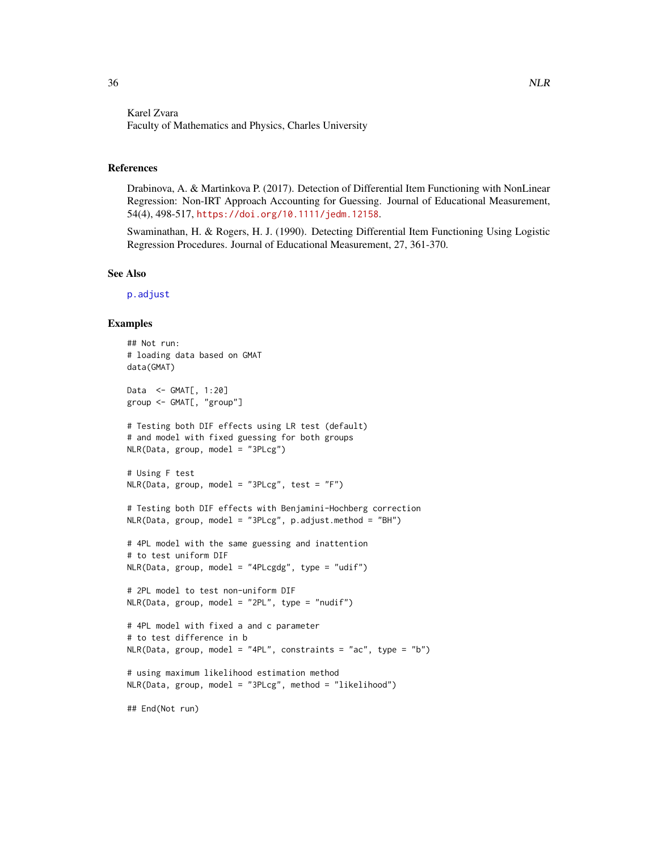# <span id="page-35-0"></span>Karel Zvara Faculty of Mathematics and Physics, Charles University

# References

Drabinova, A. & Martinkova P. (2017). Detection of Differential Item Functioning with NonLinear Regression: Non-IRT Approach Accounting for Guessing. Journal of Educational Measurement, 54(4), 498-517, <https://doi.org/10.1111/jedm.12158>.

Swaminathan, H. & Rogers, H. J. (1990). Detecting Differential Item Functioning Using Logistic Regression Procedures. Journal of Educational Measurement, 27, 361-370.

#### See Also

[p.adjust](#page-0-0)

#### Examples

```
## Not run:
# loading data based on GMAT
data(GMAT)
Data <- GMAT[, 1:20]
group <- GMAT[, "group"]
# Testing both DIF effects using LR test (default)
# and model with fixed guessing for both groups
NLR(Data, group, model = "3PLcg")
# Using F test
NLR(Data, group, model = "3PLcg", test = "F")# Testing both DIF effects with Benjamini-Hochberg correction
NLR(Data, group, model = "3PLcg", p.adjust.method = "BH")
# 4PL model with the same guessing and inattention
# to test uniform DIF
NLR(Data, group, model = "4PLcgdg", type = "udif")
# 2PL model to test non-uniform DIF
NLR(Data, group, model = "2PL", type = "nudif")
# 4PL model with fixed a and c parameter
# to test difference in b
NLR(Data, group, model = "4PL", constraints = "ac", type = "b")
# using maximum likelihood estimation method
NLR(Data, group, model = "3PLcg", method = "likelihood")
## End(Not run)
```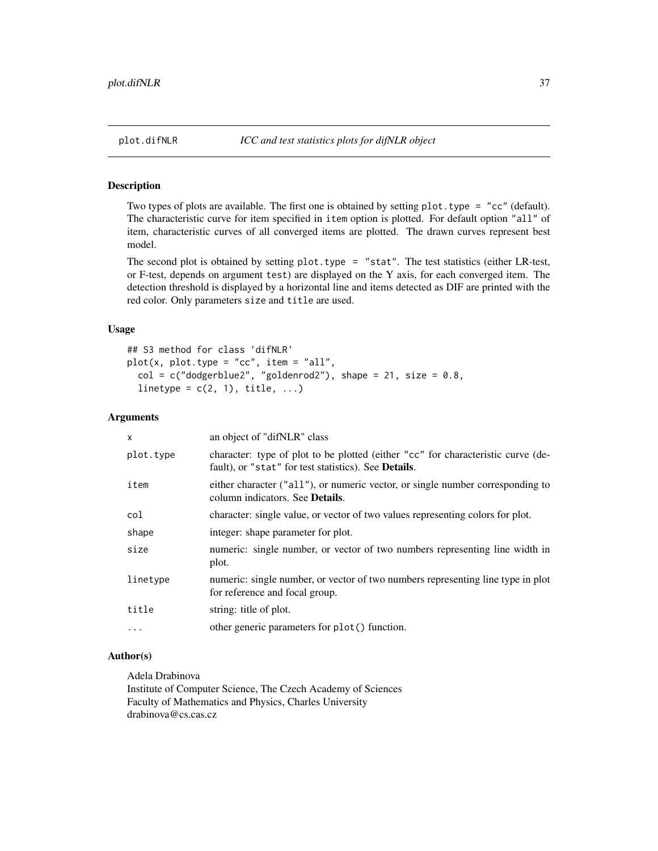<span id="page-36-1"></span><span id="page-36-0"></span>

Two types of plots are available. The first one is obtained by setting plot.type = "cc" (default). The characteristic curve for item specified in item option is plotted. For default option "all" of item, characteristic curves of all converged items are plotted. The drawn curves represent best model.

The second plot is obtained by setting plot.type = "stat". The test statistics (either LR-test, or F-test, depends on argument test) are displayed on the Y axis, for each converged item. The detection threshold is displayed by a horizontal line and items detected as DIF are printed with the red color. Only parameters size and title are used.

#### Usage

```
## S3 method for class 'difNLR'
plot(x, plot-type = "cc", item = "all",col = c("dodge blue2", "goldenrod2"), shape = 21, size = 0.8,linetype = c(2, 1), title, ...)
```
# Arguments

| $\times$  | an object of "difNLR" class                                                                                                                      |
|-----------|--------------------------------------------------------------------------------------------------------------------------------------------------|
| plot.type | character: type of plot to be plotted (either "cc" for characteristic curve (de-<br>fault), or "stat" for test statistics). See <b>Details</b> . |
| item      | either character ("all"), or numeric vector, or single number corresponding to<br>column indicators. See <b>Details</b> .                        |
| col       | character: single value, or vector of two values representing colors for plot.                                                                   |
| shape     | integer: shape parameter for plot.                                                                                                               |
| size      | numeric: single number, or vector of two numbers representing line width in<br>plot.                                                             |
| linetype  | numeric: single number, or vector of two numbers representing line type in plot<br>for reference and focal group.                                |
| title     | string: title of plot.                                                                                                                           |
| .         | other generic parameters for plot() function.                                                                                                    |

# Author(s)

Adela Drabinova Institute of Computer Science, The Czech Academy of Sciences Faculty of Mathematics and Physics, Charles University drabinova@cs.cas.cz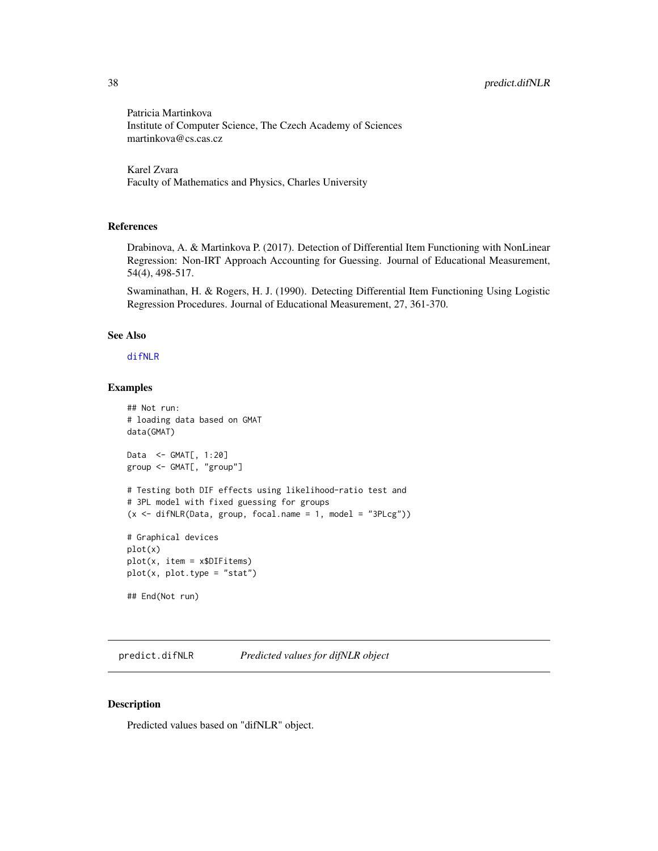Patricia Martinkova Institute of Computer Science, The Czech Academy of Sciences martinkova@cs.cas.cz

Karel Zvara Faculty of Mathematics and Physics, Charles University

#### References

Drabinova, A. & Martinkova P. (2017). Detection of Differential Item Functioning with NonLinear Regression: Non-IRT Approach Accounting for Guessing. Journal of Educational Measurement, 54(4), 498-517.

Swaminathan, H. & Rogers, H. J. (1990). Detecting Differential Item Functioning Using Logistic Regression Procedures. Journal of Educational Measurement, 27, 361-370.

#### See Also

[difNLR](#page-7-1)

## Examples

```
## Not run:
# loading data based on GMAT
data(GMAT)
Data <- GMAT[, 1:20]
group <- GMAT[, "group"]
# Testing both DIF effects using likelihood-ratio test and
# 3PL model with fixed guessing for groups
(x \leq -\text{diffNLR}(Data, group, focal.name = 1, model = "3PLcg"))# Graphical devices
plot(x)
plot(x, item = x$DIFitems)
plot(x, plot.type = "stat")
## End(Not run)
```
<span id="page-37-1"></span>predict.difNLR *Predicted values for difNLR object*

# Description

Predicted values based on "difNLR" object.

<span id="page-37-0"></span>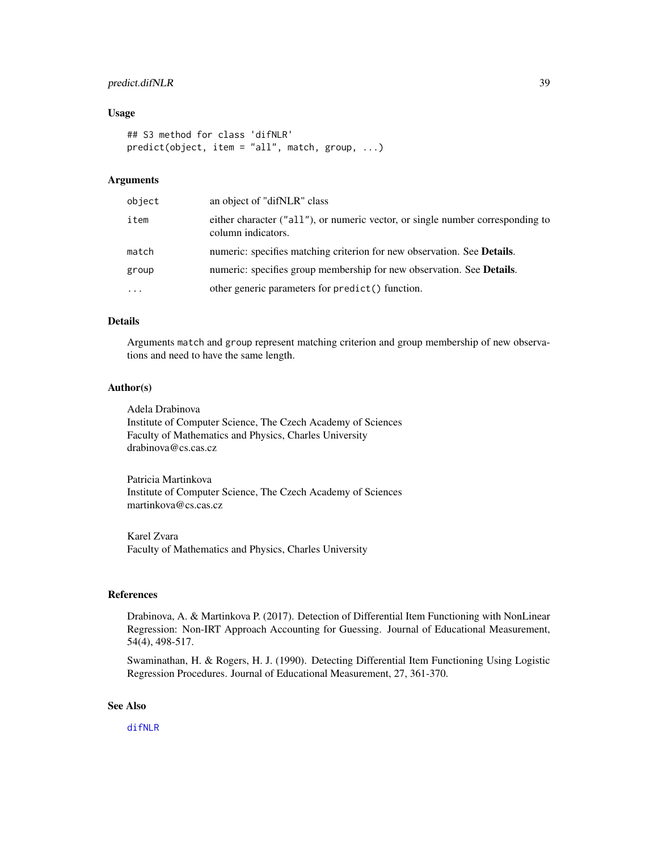# <span id="page-38-0"></span>predict.difNLR 39

#### Usage

```
## S3 method for class 'difNLR'
predict(object, item = "all", match, group, ...)
```
# Arguments

| object   | an object of "difNLR" class                                                                          |
|----------|------------------------------------------------------------------------------------------------------|
| item     | either character ("all"), or numeric vector, or single number corresponding to<br>column indicators. |
| match    | numeric: specifies matching criterion for new observation. See <b>Details</b> .                      |
| group    | numeric: specifies group membership for new observation. See Details.                                |
| $\ddots$ | other generic parameters for predict() function.                                                     |

# Details

Arguments match and group represent matching criterion and group membership of new observations and need to have the same length.

#### Author(s)

Adela Drabinova Institute of Computer Science, The Czech Academy of Sciences Faculty of Mathematics and Physics, Charles University drabinova@cs.cas.cz

Patricia Martinkova Institute of Computer Science, The Czech Academy of Sciences martinkova@cs.cas.cz

Karel Zvara Faculty of Mathematics and Physics, Charles University

# References

Drabinova, A. & Martinkova P. (2017). Detection of Differential Item Functioning with NonLinear Regression: Non-IRT Approach Accounting for Guessing. Journal of Educational Measurement, 54(4), 498-517.

Swaminathan, H. & Rogers, H. J. (1990). Detecting Differential Item Functioning Using Logistic Regression Procedures. Journal of Educational Measurement, 27, 361-370.

#### See Also

[difNLR](#page-7-1)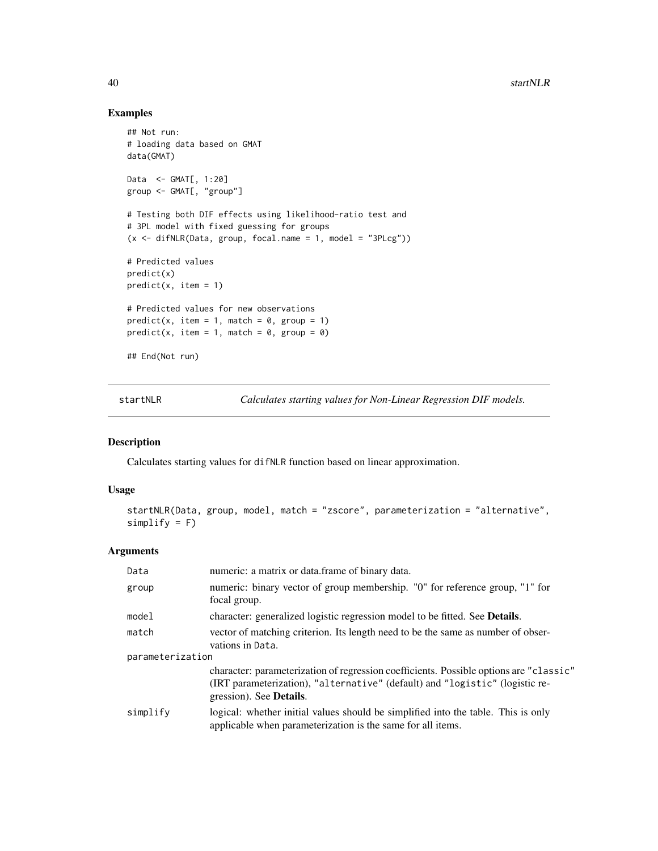# Examples

```
## Not run:
# loading data based on GMAT
data(GMAT)
Data <- GMAT[, 1:20]
group <- GMAT[, "group"]
# Testing both DIF effects using likelihood-ratio test and
# 3PL model with fixed guessing for groups
(x \leq -\text{diffNLR}(Data, group, focal.name = 1, model = "3PLcg"))# Predicted values
predict(x)
predict(x, item = 1)# Predicted values for new observations
predict(x, item = 1, match = 0, group = 1)predict(x, item = 1, match = 0, group = 0)## End(Not run)
```
<span id="page-39-1"></span>startNLR *Calculates starting values for Non-Linear Regression DIF models.*

# Description

Calculates starting values for difNLR function based on linear approximation.

# Usage

```
startNLR(Data, group, model, match = "zscore", parameterization = "alternative",
simplify = F)
```
# Arguments

| Data             | numeric: a matrix or data. frame of binary data.                                                                                                                                                          |  |
|------------------|-----------------------------------------------------------------------------------------------------------------------------------------------------------------------------------------------------------|--|
| group            | numeric: binary vector of group membership. "0" for reference group, "1" for<br>focal group.                                                                                                              |  |
| model            | character: generalized logistic regression model to be fitted. See <b>Details</b> .                                                                                                                       |  |
| match            | vector of matching criterion. Its length need to be the same as number of obser-<br>vations in Data.                                                                                                      |  |
| parameterization |                                                                                                                                                                                                           |  |
|                  | character: parameterization of regression coefficients. Possible options are "classic"<br>(IRT parameterization), "alternative" (default) and "logistic" (logistic re-<br>gression). See <b>Details</b> . |  |
| simplify         | logical: whether initial values should be simplified into the table. This is only<br>applicable when parameterization is the same for all items.                                                          |  |

<span id="page-39-0"></span>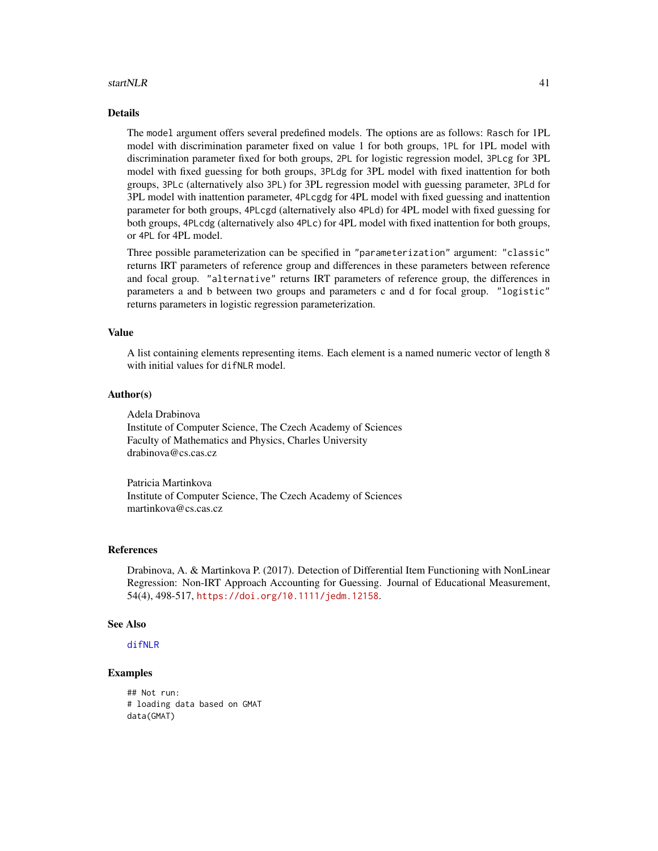#### <span id="page-40-0"></span>startNLR 41

# Details

The model argument offers several predefined models. The options are as follows: Rasch for 1PL model with discrimination parameter fixed on value 1 for both groups, 1PL for 1PL model with discrimination parameter fixed for both groups, 2PL for logistic regression model, 3PLcg for 3PL model with fixed guessing for both groups, 3PLdg for 3PL model with fixed inattention for both groups, 3PLc (alternatively also 3PL) for 3PL regression model with guessing parameter, 3PLd for 3PL model with inattention parameter, 4PLcgdg for 4PL model with fixed guessing and inattention parameter for both groups, 4PLcgd (alternatively also 4PLd) for 4PL model with fixed guessing for both groups, 4PLcdg (alternatively also 4PLc) for 4PL model with fixed inattention for both groups, or 4PL for 4PL model.

Three possible parameterization can be specified in "parameterization" argument: "classic" returns IRT parameters of reference group and differences in these parameters between reference and focal group. "alternative" returns IRT parameters of reference group, the differences in parameters a and b between two groups and parameters c and d for focal group. "logistic" returns parameters in logistic regression parameterization.

#### Value

A list containing elements representing items. Each element is a named numeric vector of length 8 with initial values for difNLR model.

# Author(s)

Adela Drabinova Institute of Computer Science, The Czech Academy of Sciences Faculty of Mathematics and Physics, Charles University

drabinova@cs.cas.cz

Patricia Martinkova Institute of Computer Science, The Czech Academy of Sciences martinkova@cs.cas.cz

#### References

Drabinova, A. & Martinkova P. (2017). Detection of Differential Item Functioning with NonLinear Regression: Non-IRT Approach Accounting for Guessing. Journal of Educational Measurement, 54(4), 498-517, <https://doi.org/10.1111/jedm.12158>.

#### See Also

[difNLR](#page-7-1)

## Examples

## Not run: # loading data based on GMAT data(GMAT)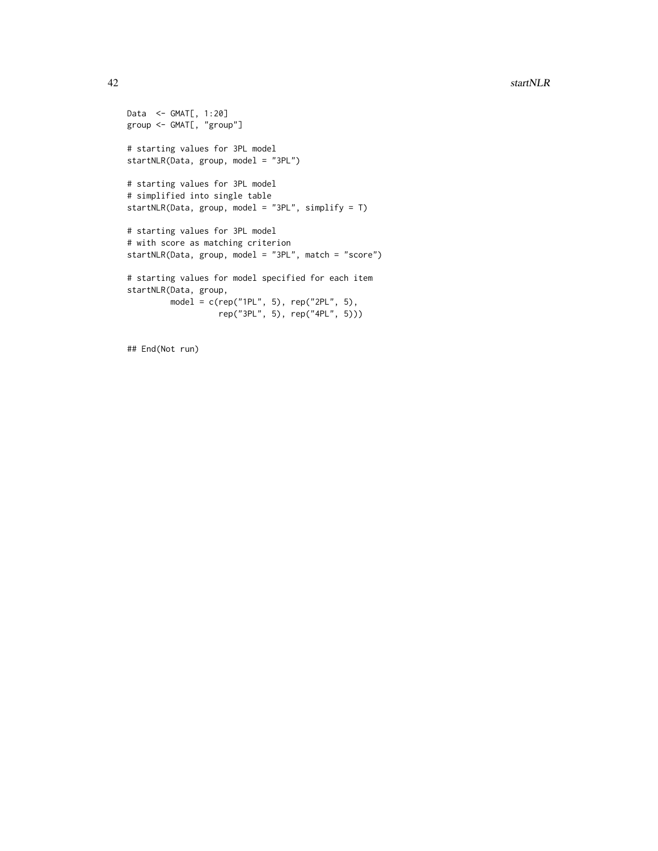```
Data <- GMAT[, 1:20]
group <- GMAT[, "group"]
# starting values for 3PL model
startNLR(Data, group, model = "3PL")
# starting values for 3PL model
# simplified into single table
startNLR(Data, group, model = "3PL", simplify = T)
# starting values for 3PL model
# with score as matching criterion
startNLR(Data, group, model = "3PL", match = "score")
# starting values for model specified for each item
startNLR(Data, group,
         model = c(rep("1PL", 5), rep("2PL", 5),
                  rep("3PL", 5), rep("4PL", 5)))
```
## End(Not run)